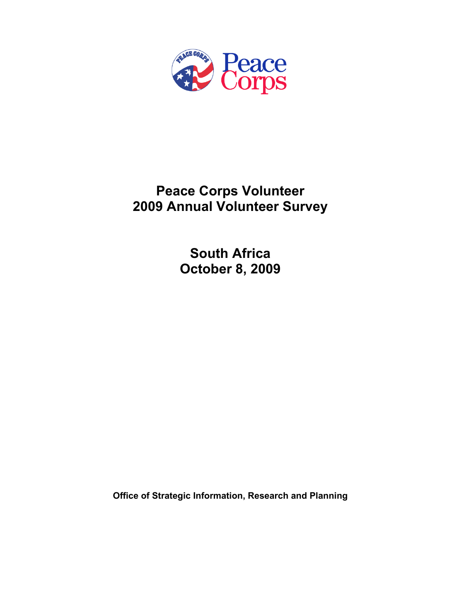

## **Peace Corps Volunteer 2009 Annual Volunteer Survey**

**South Africa October 8, 2009** 

**Office of Strategic Information, Research and Planning**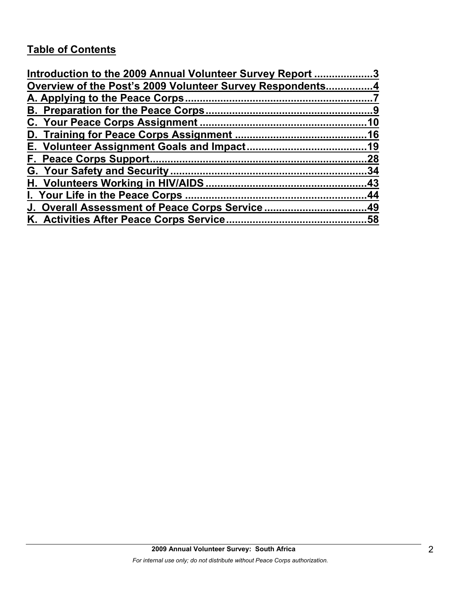## **Table of Contents**

| Introduction to the 2009 Annual Volunteer Survey Report 3 |     |
|-----------------------------------------------------------|-----|
| Overview of the Post's 2009 Volunteer Survey Respondents4 |     |
|                                                           |     |
|                                                           |     |
|                                                           |     |
|                                                           |     |
|                                                           |     |
|                                                           | .28 |
|                                                           |     |
|                                                           |     |
|                                                           |     |
| J. Overall Assessment of Peace Corps Service49            |     |
|                                                           |     |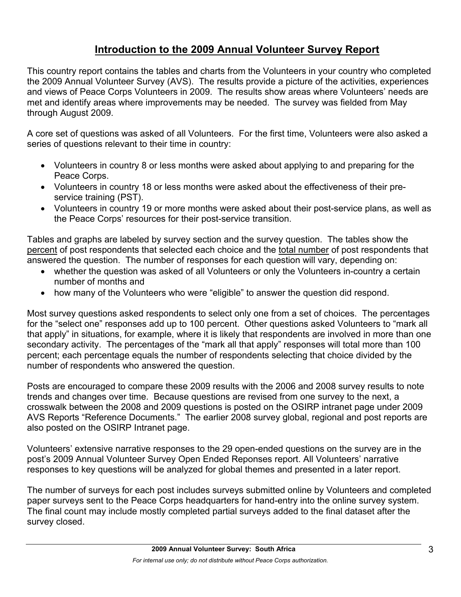## **Introduction to the 2009 Annual Volunteer Survey Report**

This country report contains the tables and charts from the Volunteers in your country who completed the 2009 Annual Volunteer Survey (AVS). The results provide a picture of the activities, experiences and views of Peace Corps Volunteers in 2009. The results show areas where Volunteers' needs are met and identify areas where improvements may be needed. The survey was fielded from May through August 2009.

A core set of questions was asked of all Volunteers. For the first time, Volunteers were also asked a series of questions relevant to their time in country:

- Volunteers in country 8 or less months were asked about applying to and preparing for the Peace Corps.
- Volunteers in country 18 or less months were asked about the effectiveness of their preservice training (PST).
- Volunteers in country 19 or more months were asked about their post-service plans, as well as the Peace Corps' resources for their post-service transition.

Tables and graphs are labeled by survey section and the survey question. The tables show the percent of post respondents that selected each choice and the total number of post respondents that answered the question. The number of responses for each question will vary, depending on:

- whether the question was asked of all Volunteers or only the Volunteers in-country a certain number of months and
- how many of the Volunteers who were "eligible" to answer the question did respond.

Most survey questions asked respondents to select only one from a set of choices. The percentages for the "select one" responses add up to 100 percent. Other questions asked Volunteers to "mark all that apply" in situations, for example, where it is likely that respondents are involved in more than one secondary activity. The percentages of the "mark all that apply" responses will total more than 100 percent; each percentage equals the number of respondents selecting that choice divided by the number of respondents who answered the question.

Posts are encouraged to compare these 2009 results with the 2006 and 2008 survey results to note trends and changes over time. Because questions are revised from one survey to the next, a crosswalk between the 2008 and 2009 questions is posted on the OSIRP intranet page under 2009 AVS Reports "Reference Documents." The earlier 2008 survey global, regional and post reports are also posted on the OSIRP Intranet page.

Volunteers' extensive narrative responses to the 29 open-ended questions on the survey are in the post's 2009 Annual Volunteer Survey Open Ended Reponses report. All Volunteers' narrative responses to key questions will be analyzed for global themes and presented in a later report.

The number of surveys for each post includes surveys submitted online by Volunteers and completed paper surveys sent to the Peace Corps headquarters for hand-entry into the online survey system. The final count may include mostly completed partial surveys added to the final dataset after the survey closed.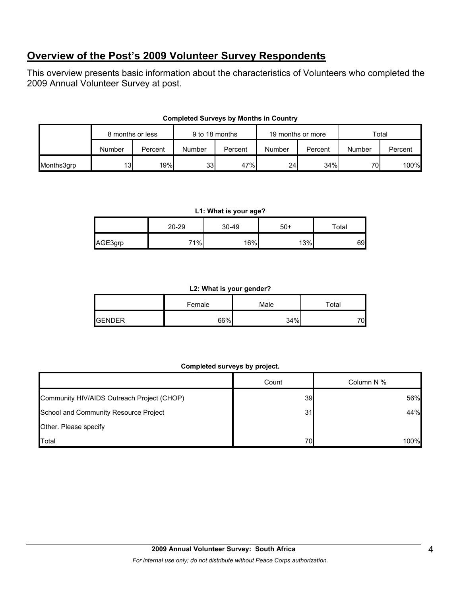## **Overview of the Post's 2009 Volunteer Survey Respondents**

This overview presents basic information about the characteristics of Volunteers who completed the 2009 Annual Volunteer Survey at post.

|            | 8 months or less |         | 9 to 18 months |         | 19 months or more |         | Total  |         |
|------------|------------------|---------|----------------|---------|-------------------|---------|--------|---------|
|            | Number           | Percent | Number         | Percent | Number            | Percent | Number | Percent |
| Months3grp | 13               | 19%     | 33             | 47%     | 24 <sub>l</sub>   | 34%     | 70     | 100%    |

#### **Completed Surveys by Months in Country**

#### **L1: What is your age?**

|         | $20 - 29$ | 30-49 | $50+$ | $\tau$ otal |
|---------|-----------|-------|-------|-------------|
| AGE3grp | 71%       | 16%   | 13%   | 69          |

#### **L2: What is your gender?**

|               | Female | Male | $\tau$ otal |
|---------------|--------|------|-------------|
| <b>GENDER</b> | 66%    | 34%  | 70          |

#### **Completed surveys by project.**

|                                            | Count | Column N % |
|--------------------------------------------|-------|------------|
| Community HIV/AIDS Outreach Project (CHOP) | 39    | 56%        |
| School and Community Resource Project      | 31    | 44%        |
| Other. Please specify                      |       |            |
| Total                                      | 70    | 100%       |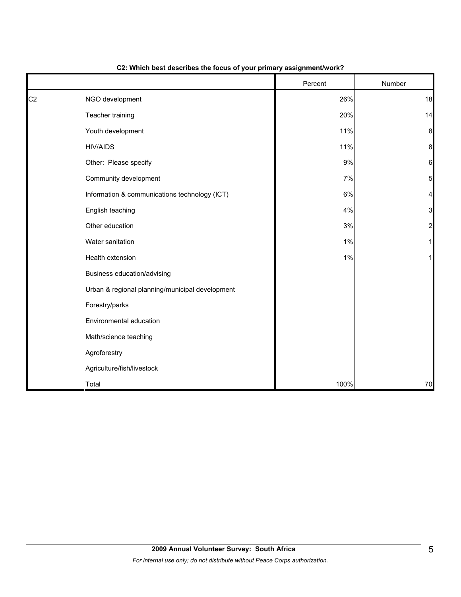|                |                                                 | Percent | Number          |
|----------------|-------------------------------------------------|---------|-----------------|
| C <sub>2</sub> | NGO development                                 | 26%     | 18              |
|                | Teacher training                                | 20%     | 14              |
|                | Youth development                               | 11%     | 8               |
|                | <b>HIV/AIDS</b>                                 | 11%     | 8               |
|                | Other: Please specify                           | 9%      | 6               |
|                | Community development                           | 7%      | $5\overline{)}$ |
|                | Information & communications technology (ICT)   | $6\%$   | 4               |
|                | English teaching                                | 4%      | 3               |
|                | Other education                                 | $3%$    | $\overline{c}$  |
|                | Water sanitation                                | 1%      |                 |
|                | Health extension                                | 1%      |                 |
|                | Business education/advising                     |         |                 |
|                | Urban & regional planning/municipal development |         |                 |
|                | Forestry/parks                                  |         |                 |
|                | Environmental education                         |         |                 |
|                | Math/science teaching                           |         |                 |
|                | Agroforestry                                    |         |                 |
|                | Agriculture/fish/livestock                      |         |                 |
|                | Total                                           | 100%    | 70              |

#### **C2: Which best describes the focus of your primary assignment/work?**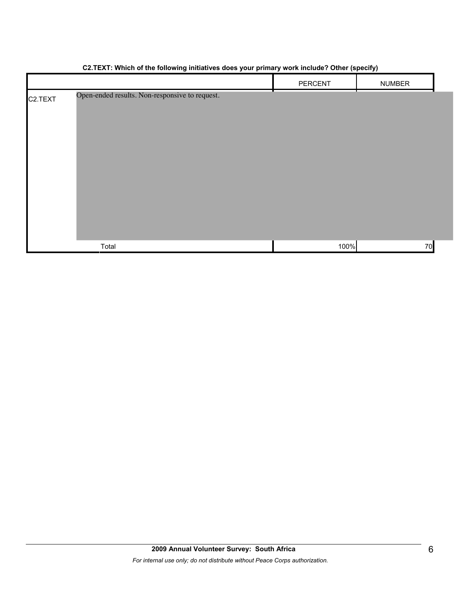|                      | $\ddot{\phantom{0}}$<br>. .                    | $\ddot{\phantom{1}}$ | $\cdot$       |
|----------------------|------------------------------------------------|----------------------|---------------|
|                      |                                                | PERCENT              | <b>NUMBER</b> |
| C <sub>2</sub> .TEXT | Open-ended results. Non-responsive to request. |                      | т.            |
|                      |                                                |                      |               |
|                      |                                                |                      |               |
|                      |                                                |                      |               |
|                      |                                                |                      |               |
|                      |                                                |                      |               |
|                      |                                                |                      |               |
|                      |                                                |                      |               |
|                      |                                                |                      |               |
|                      |                                                |                      |               |
|                      | Total                                          | 100%                 | 70            |

#### **C2.TEXT: Which of the following initiatives does your primary work include? Other (specify)**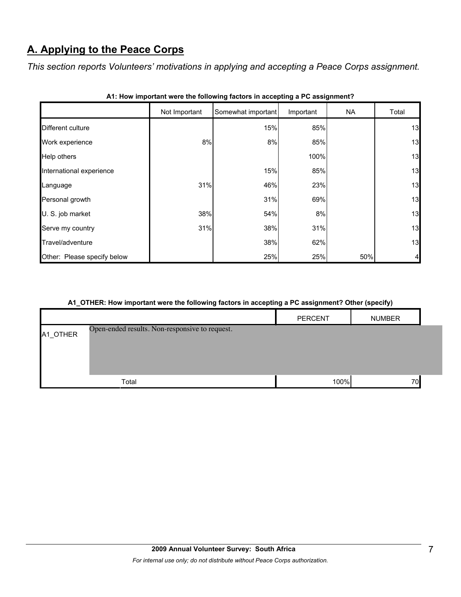## **A. Applying to the Peace Corps**

*This section reports Volunteers' motivations in applying and accepting a Peace Corps assignment.* 

|                             | Not Important | Somewhat important | Important | <b>NA</b> | Total |
|-----------------------------|---------------|--------------------|-----------|-----------|-------|
| Different culture           |               | 15%                | 85%       |           | 13    |
| Work experience             | 8%            | 8%                 | 85%       |           | 13    |
| Help others                 |               |                    | 100%      |           | 13    |
| International experience    |               | 15%                | 85%       |           | 13    |
| Language                    | 31%           | 46%                | 23%       |           | 13    |
| Personal growth             |               | 31%                | 69%       |           | 13    |
| U. S. job market            | 38%           | 54%                | 8%        |           | 13    |
| Serve my country            | 31%           | 38%                | 31%       |           | 13    |
| Travel/adventure            |               | 38%                | 62%       |           | 13    |
| Other: Please specify below |               | 25%                | 25%       | 50%       | 4     |

|  | A1: How important were the following factors in accepting a PC assignment? |  |  |  |  |
|--|----------------------------------------------------------------------------|--|--|--|--|
|--|----------------------------------------------------------------------------|--|--|--|--|

#### **A1\_OTHER: How important were the following factors in accepting a PC assignment? Other (specify)**

|          |                                                | <b>PERCENT</b> | <b>NUMBER</b> |  |
|----------|------------------------------------------------|----------------|---------------|--|
| A1_OTHER | Open-ended results. Non-responsive to request. |                |               |  |
|          |                                                |                |               |  |
|          |                                                |                |               |  |
|          | Total                                          | 100%           | 70            |  |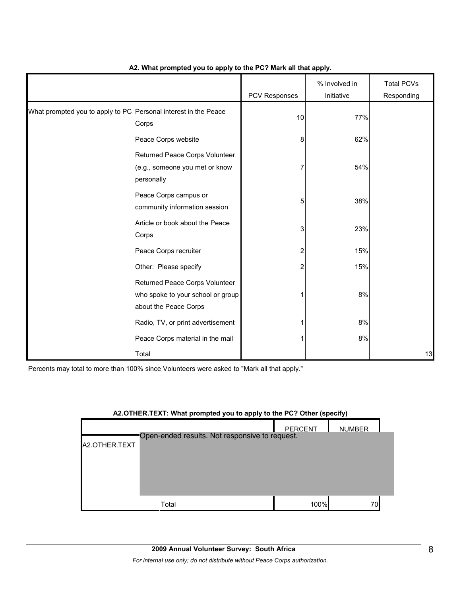|                                                                 |                                                                                              | PCV Responses | % Involved in<br>Initiative | <b>Total PCVs</b><br>Responding |
|-----------------------------------------------------------------|----------------------------------------------------------------------------------------------|---------------|-----------------------------|---------------------------------|
| What prompted you to apply to PC Personal interest in the Peace | Corps                                                                                        | 10            | 77%                         |                                 |
|                                                                 | Peace Corps website                                                                          | 8             | 62%                         |                                 |
|                                                                 | Returned Peace Corps Volunteer<br>(e.g., someone you met or know<br>personally               | 7             | 54%                         |                                 |
|                                                                 | Peace Corps campus or<br>community information session                                       | 5             | 38%                         |                                 |
|                                                                 | Article or book about the Peace<br>Corps                                                     | 3             | 23%                         |                                 |
|                                                                 | Peace Corps recruiter                                                                        | 2             | 15%                         |                                 |
|                                                                 | Other: Please specify                                                                        | 2             | 15%                         |                                 |
|                                                                 | Returned Peace Corps Volunteer<br>who spoke to your school or group<br>about the Peace Corps |               | 8%                          |                                 |
|                                                                 | Radio, TV, or print advertisement                                                            |               | 8%                          |                                 |
|                                                                 | Peace Corps material in the mail                                                             |               | 8%                          |                                 |
|                                                                 | Total                                                                                        |               |                             | 13                              |

#### **A2. What prompted you to apply to the PC? Mark all that apply.**

|               | A2.OTHER.TEXT: What prompted you to apply to the PC? Other (specify) |                |               |  |
|---------------|----------------------------------------------------------------------|----------------|---------------|--|
|               |                                                                      | <b>PERCENT</b> | <b>NUMBER</b> |  |
|               | Open-ended results. Not responsive to request.                       |                |               |  |
| A2.OTHER.TEXT |                                                                      |                |               |  |
|               |                                                                      |                |               |  |
|               |                                                                      |                |               |  |
|               |                                                                      |                |               |  |
|               |                                                                      |                |               |  |
|               |                                                                      |                |               |  |
|               | Total                                                                | 100%           | 70            |  |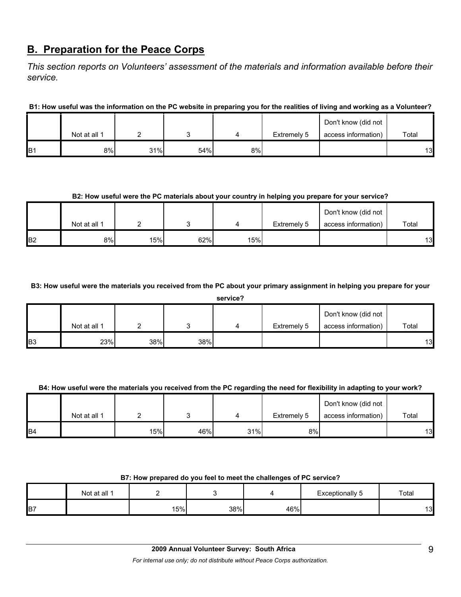## **B. Preparation for the Peace Corps**

*This section reports on Volunteers' assessment of the materials and information available before their service.* 

**B1: How useful was the information on the PC website in preparing you for the realities of living and working as a Volunteer?**

|                 |              |     |     |    |             | Don't know (did not |       |
|-----------------|--------------|-----|-----|----|-------------|---------------------|-------|
|                 | Not at all 1 |     |     |    | Extremely 5 | access information) | Total |
| IB <sub>1</sub> | 8%           | 31% | 54% | 8% |             |                     | 13    |

#### **B2: How useful were the PC materials about your country in helping you prepare for your service?**

|                |              |     |     |     |             | Don't know (did not |       |
|----------------|--------------|-----|-----|-----|-------------|---------------------|-------|
|                | Not at all 1 |     |     |     | Extremely 5 | access information) | Total |
| B <sub>2</sub> | 8%           | 15% | 62% | 15% |             |                     | 13    |

#### **B3: How useful were the materials you received from the PC about your primary assignment in helping you prepare for your**

|    | service?     |     |     |   |             |                     |       |  |
|----|--------------|-----|-----|---|-------------|---------------------|-------|--|
|    |              |     |     |   |             | Don't know (did not |       |  |
|    | Not at all 1 |     |     | 4 | Extremely 5 | access information) | Total |  |
| B3 | 23%          | 38% | 38% |   |             |                     | 13    |  |

#### **B4: How useful were the materials you received from the PC regarding the need for flexibility in adapting to your work?**

|                |              |     |     |     |             | Don't know (did not |       |
|----------------|--------------|-----|-----|-----|-------------|---------------------|-------|
|                | Not at all 1 |     |     |     | Extremely 5 | access information) | Total |
| B <sub>4</sub> |              | 15% | 46% | 31% | 8%          |                     | 13    |

#### **B7: How prepared do you feel to meet the challenges of PC service?**

|                | Not at all 1 |     |     |     | <b>Exceptionally 5</b> | Total |
|----------------|--------------|-----|-----|-----|------------------------|-------|
| B <sub>7</sub> |              | 15% | 38% | 46% |                        | 13    |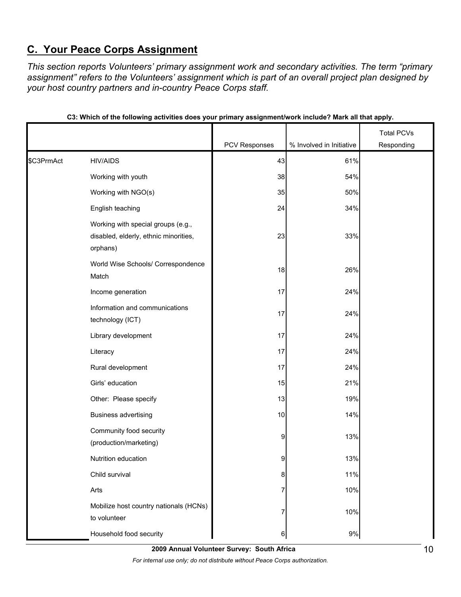## **C. Your Peace Corps Assignment**

*This section reports Volunteers' primary assignment work and secondary activities. The term "primary assignment" refers to the Volunteers' assignment which is part of an overall project plan designed by your host country partners and in-country Peace Corps staff.* 

|            |                                                                                         |               |                          | <b>Total PCVs</b> |
|------------|-----------------------------------------------------------------------------------------|---------------|--------------------------|-------------------|
|            |                                                                                         | PCV Responses | % Involved in Initiative | Responding        |
| \$C3PrmAct | <b>HIV/AIDS</b>                                                                         | 43            | 61%                      |                   |
|            | Working with youth                                                                      | 38            | 54%                      |                   |
|            | Working with NGO(s)                                                                     | 35            | 50%                      |                   |
|            | English teaching                                                                        | 24            | 34%                      |                   |
|            | Working with special groups (e.g.,<br>disabled, elderly, ethnic minorities,<br>orphans) | 23            | 33%                      |                   |
|            | World Wise Schools/ Correspondence<br>Match                                             | 18            | 26%                      |                   |
|            | Income generation                                                                       | 17            | 24%                      |                   |
|            | Information and communications<br>technology (ICT)                                      | 17            | 24%                      |                   |
|            | Library development                                                                     | 17            | 24%                      |                   |
|            | Literacy                                                                                | 17            | 24%                      |                   |
|            | Rural development                                                                       | 17            | 24%                      |                   |
|            | Girls' education                                                                        | 15            | 21%                      |                   |
|            | Other: Please specify                                                                   | 13            | 19%                      |                   |
|            | <b>Business advertising</b>                                                             | 10            | 14%                      |                   |
|            | Community food security<br>(production/marketing)                                       | 9             | 13%                      |                   |
|            | Nutrition education                                                                     | 9             | 13%                      |                   |
|            | Child survival                                                                          | 8             | 11%                      |                   |
|            | Arts                                                                                    | 7             | 10%                      |                   |
|            | Mobilize host country nationals (HCNs)<br>to volunteer                                  | 7             | 10%                      |                   |
|            | Household food security                                                                 | 6             | 9%                       |                   |

| C3: Which of the following activities does your primary assignment/work include? Mark all that apply. |  |  |  |
|-------------------------------------------------------------------------------------------------------|--|--|--|
|                                                                                                       |  |  |  |

**2009 Annual Volunteer Survey: South Africa** 

*For internal use only; do not distribute without Peace Corps authorization.*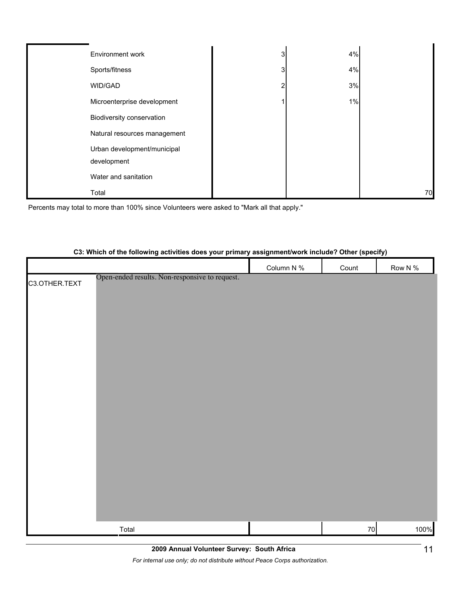| Environment work             |   | 4% |    |
|------------------------------|---|----|----|
| Sports/fitness               | 3 | 4% |    |
| WID/GAD                      |   | 3% |    |
| Microenterprise development  |   | 1% |    |
| Biodiversity conservation    |   |    |    |
| Natural resources management |   |    |    |
| Urban development/municipal  |   |    |    |
| development                  |   |    |    |
| Water and sanitation         |   |    |    |
| Total                        |   |    | 70 |

Percents may total to more than 100% since Volunteers were asked to "Mark all that apply."

#### **C3: Which of the following activities does your primary assignment/work include? Other (specify)**

|                                                                 | Column N % | Count | Row N % |
|-----------------------------------------------------------------|------------|-------|---------|
| Open-ended results. Non-responsive to request.<br>C3.OTHER.TEXT |            |       |         |
|                                                                 |            |       |         |
|                                                                 |            |       |         |
|                                                                 |            |       |         |
|                                                                 |            |       |         |
|                                                                 |            |       |         |
|                                                                 |            |       |         |
|                                                                 |            |       |         |
|                                                                 |            |       |         |
|                                                                 |            |       |         |
|                                                                 |            |       |         |
|                                                                 |            |       |         |
|                                                                 |            |       |         |
|                                                                 |            |       |         |
|                                                                 |            |       |         |
|                                                                 |            |       |         |
|                                                                 |            |       |         |
|                                                                 |            |       |         |
| Total                                                           |            | 70    | 100%    |

*For internal use only; do not distribute without Peace Corps authorization.*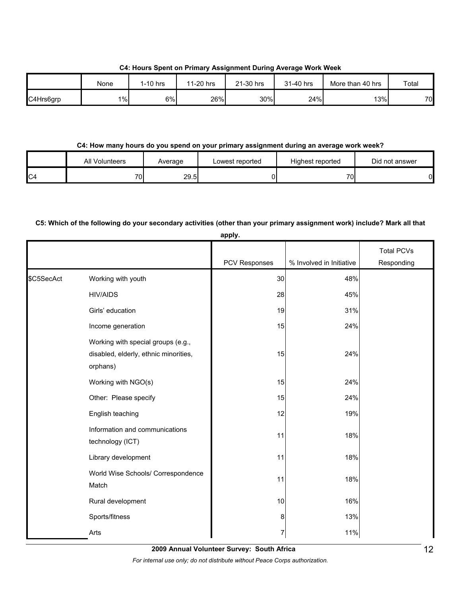**C4: Hours Spent on Primary Assignment During Average Work Week**

|           | None | 1-10 hrs | 11-20 hrs | 21-30 hrs | 31-40 hrs | More than 40 hrs | Total |
|-----------|------|----------|-----------|-----------|-----------|------------------|-------|
| C4Hrs6grp | 1%   | 6%       | 26%       | 30%       | 24%       | 13%              | 70    |

#### **C4: How many hours do you spend on your primary assignment during an average work week?**

|                | <b>All Volunteers</b> | Average | ∟owest reported | Highest reported | Did not answer |
|----------------|-----------------------|---------|-----------------|------------------|----------------|
| C <sub>4</sub> | 70                    | 29.5    |                 | 70.              | 01             |

#### **C5: Which of the following do your secondary activities (other than your primary assignment work) include? Mark all that**

|            |                                                                                         | apply.        |                          |                                 |
|------------|-----------------------------------------------------------------------------------------|---------------|--------------------------|---------------------------------|
|            |                                                                                         | PCV Responses | % Involved in Initiative | <b>Total PCVs</b><br>Responding |
| \$C5SecAct | Working with youth                                                                      | 30            | 48%                      |                                 |
|            | <b>HIV/AIDS</b>                                                                         | 28            | 45%                      |                                 |
|            | Girls' education                                                                        | 19            | 31%                      |                                 |
|            | Income generation                                                                       | 15            | 24%                      |                                 |
|            | Working with special groups (e.g.,<br>disabled, elderly, ethnic minorities,<br>orphans) | 15            | 24%                      |                                 |
|            | Working with NGO(s)                                                                     | 15            | 24%                      |                                 |
|            | Other: Please specify                                                                   | 15            | 24%                      |                                 |
|            | English teaching                                                                        | 12            | 19%                      |                                 |
|            | Information and communications<br>technology (ICT)                                      | 11            | 18%                      |                                 |
|            | Library development                                                                     | 11            | 18%                      |                                 |
|            | World Wise Schools/ Correspondence<br>Match                                             | 11            | 18%                      |                                 |
|            | Rural development                                                                       | 10            | 16%                      |                                 |
|            | Sports/fitness                                                                          | 8             | 13%                      |                                 |
|            | Arts                                                                                    | 7             | 11%                      |                                 |

**2009 Annual Volunteer Survey: South Africa** 

*For internal use only; do not distribute without Peace Corps authorization.*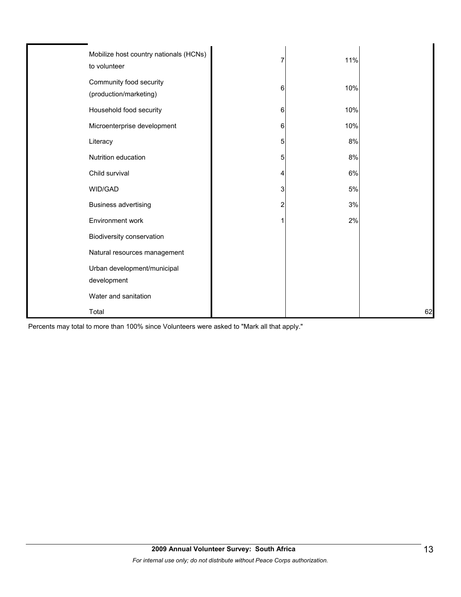| Mobilize host country nationals (HCNs)<br>to volunteer |   | 11%   |    |
|--------------------------------------------------------|---|-------|----|
| Community food security<br>(production/marketing)      | 6 | 10%   |    |
| Household food security                                | 6 | 10%   |    |
| Microenterprise development                            | 6 | 10%   |    |
| Literacy                                               | 5 | 8%    |    |
| Nutrition education                                    | 5 | 8%    |    |
| Child survival                                         | 4 | 6%    |    |
| WID/GAD                                                | 3 | $5\%$ |    |
| <b>Business advertising</b>                            |   | 3%    |    |
| Environment work                                       |   | 2%    |    |
| Biodiversity conservation                              |   |       |    |
| Natural resources management                           |   |       |    |
| Urban development/municipal                            |   |       |    |
| development                                            |   |       |    |
| Water and sanitation                                   |   |       |    |
| Total                                                  |   |       | 62 |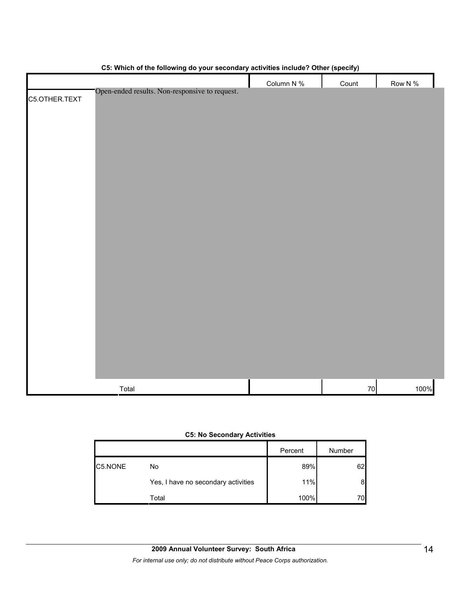| Column N %<br>Row N $%$<br>Count<br>Open-ended results. Non-responsive to request.<br>C5.OTHER.TEXT<br>100%<br>Total<br>${\bf 70}$ |  | . . |  |
|------------------------------------------------------------------------------------------------------------------------------------|--|-----|--|
|                                                                                                                                    |  |     |  |
|                                                                                                                                    |  |     |  |
|                                                                                                                                    |  |     |  |
|                                                                                                                                    |  |     |  |
|                                                                                                                                    |  |     |  |
|                                                                                                                                    |  |     |  |
|                                                                                                                                    |  |     |  |
|                                                                                                                                    |  |     |  |
|                                                                                                                                    |  |     |  |
|                                                                                                                                    |  |     |  |
|                                                                                                                                    |  |     |  |
|                                                                                                                                    |  |     |  |
|                                                                                                                                    |  |     |  |
|                                                                                                                                    |  |     |  |
|                                                                                                                                    |  |     |  |
|                                                                                                                                    |  |     |  |
|                                                                                                                                    |  |     |  |
|                                                                                                                                    |  |     |  |
|                                                                                                                                    |  |     |  |
|                                                                                                                                    |  |     |  |
|                                                                                                                                    |  |     |  |
|                                                                                                                                    |  |     |  |
|                                                                                                                                    |  |     |  |
|                                                                                                                                    |  |     |  |
|                                                                                                                                    |  |     |  |
|                                                                                                                                    |  |     |  |
|                                                                                                                                    |  |     |  |
|                                                                                                                                    |  |     |  |
|                                                                                                                                    |  |     |  |
|                                                                                                                                    |  |     |  |
|                                                                                                                                    |  |     |  |

#### **C5: Which of the following do your secondary activities include? Other (specify)**

#### **C5: No Secondary Activities**

|         |                                     | Percent | Number |
|---------|-------------------------------------|---------|--------|
| C5.NONE | No                                  | 89%     | 62     |
|         | Yes, I have no secondary activities | 11%     | 8      |
|         | Total                               | 100%    | 70.    |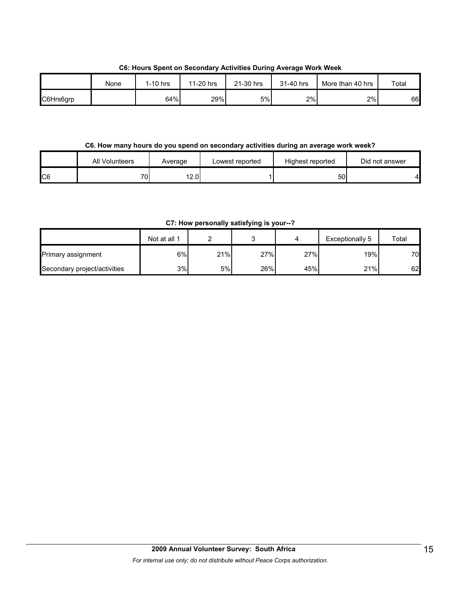**C6: Hours Spent on Secondary Activities During Average Work Week**

|           | None | 1-10 hrs | 11-20 hrs | 21-30 hrs | 31-40 hrs | More than 40 hrs | Total |
|-----------|------|----------|-----------|-----------|-----------|------------------|-------|
| C6Hrs6grp |      | 64%      | 29%       | 5%        | 2%        | 2%               | 66    |

#### **C6. How many hours do you spend on secondary activities during an average work week?**

|     | All Volunteers  | Average | Lowest reported | Highest reported | Did not answer |
|-----|-----------------|---------|-----------------|------------------|----------------|
| IC6 | 70 <sub>1</sub> | 12.01   |                 | 50               |                |

**C7: How personally satisfying is your--?**

|                              | Not at all 1 |     |     |     | Exceptionally 5 | Total |
|------------------------------|--------------|-----|-----|-----|-----------------|-------|
| Primary assignment           | 6%           | 21% | 27% | 27% | 19% i           | 70    |
| Secondary project/activities | 3%           | 5%l | 26% | 45% | 21%             | 62    |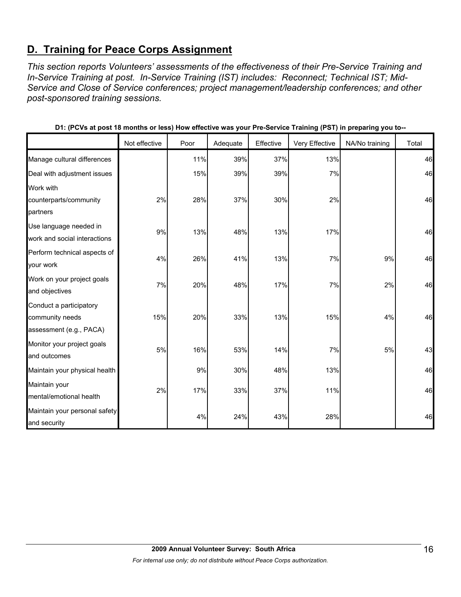## **D. Training for Peace Corps Assignment**

*This section reports Volunteers' assessments of the effectiveness of their Pre-Service Training and In-Service Training at post. In-Service Training (IST) includes: Reconnect; Technical IST; Mid-Service and Close of Service conferences; project management/leadership conferences; and other post-sponsored training sessions.* 

|                               | Not effective | Poor | Adequate | Effective | Very Effective | NA/No training | Total |
|-------------------------------|---------------|------|----------|-----------|----------------|----------------|-------|
| Manage cultural differences   |               | 11%  | 39%      | 37%       | 13%            |                | 46    |
| Deal with adjustment issues   |               | 15%  | 39%      | 39%       | 7%             |                | 46    |
| Work with                     |               |      |          |           |                |                |       |
| counterparts/community        | 2%            | 28%  | 37%      | 30%       | 2%             |                | 46    |
| partners                      |               |      |          |           |                |                |       |
| Use language needed in        | 9%            | 13%  | 48%      | 13%       | 17%            |                | 46    |
| work and social interactions  |               |      |          |           |                |                |       |
| Perform technical aspects of  | 4%            | 26%  | 41%      | 13%       | 7%             | 9%             | 46    |
| your work                     |               |      |          |           |                |                |       |
| Work on your project goals    | 7%            | 20%  | 48%      | 17%       | 7%             | 2%             | 46    |
| and objectives                |               |      |          |           |                |                |       |
| Conduct a participatory       |               |      |          |           |                |                |       |
| community needs               | 15%           | 20%  | 33%      | 13%       | 15%            | 4%             | 46    |
| assessment (e.g., PACA)       |               |      |          |           |                |                |       |
| Monitor your project goals    | 5%            | 16%  | 53%      | 14%       | 7%             | 5%             | 43    |
| and outcomes                  |               |      |          |           |                |                |       |
| Maintain your physical health |               | 9%   | 30%      | 48%       | 13%            |                | 46    |
| Maintain your                 | 2%            | 17%  | 33%      | 37%       | 11%            |                | 46    |
| mental/emotional health       |               |      |          |           |                |                |       |
| Maintain your personal safety |               |      |          |           |                |                | 46    |
| and security                  |               | 4%   | 24%      | 43%       | 28%            |                |       |

**D1: (PCVs at post 18 months or less) How effective was your Pre-Service Training (PST) in preparing you to--**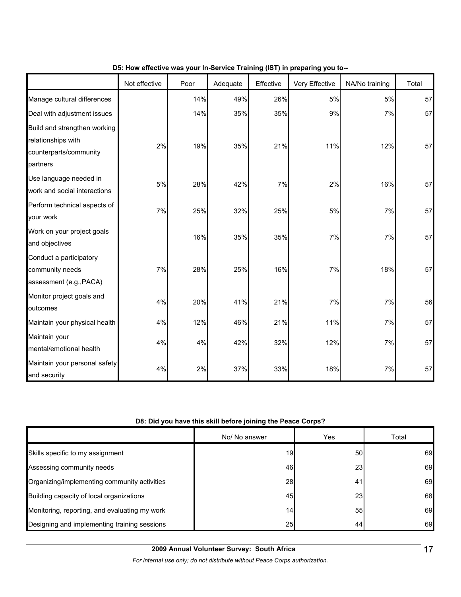|                                                                                          | Not effective | Poor | Adequate | Effective | Very Effective | NA/No training | Total |
|------------------------------------------------------------------------------------------|---------------|------|----------|-----------|----------------|----------------|-------|
| Manage cultural differences                                                              |               | 14%  | 49%      | 26%       | 5%             | 5%             | 57    |
| Deal with adjustment issues                                                              |               | 14%  | 35%      | 35%       | 9%             | 7%             | 57    |
| Build and strengthen working<br>relationships with<br>counterparts/community<br>partners | 2%            | 19%  | 35%      | 21%       | 11%            | 12%            | 57    |
| Use language needed in<br>work and social interactions                                   | 5%            | 28%  | 42%      | 7%        | 2%             | 16%            | 57    |
| Perform technical aspects of<br>your work                                                | 7%            | 25%  | 32%      | 25%       | 5%             | 7%             | 57    |
| Work on your project goals<br>and objectives                                             |               | 16%  | 35%      | 35%       | 7%             | 7%             | 57    |
| Conduct a participatory<br>community needs<br>assessment (e.g., PACA)                    | 7%            | 28%  | 25%      | 16%       | 7%             | 18%            | 57    |
| Monitor project goals and<br>outcomes                                                    | 4%            | 20%  | 41%      | 21%       | 7%             | 7%             | 56    |
| Maintain your physical health                                                            | 4%            | 12%  | 46%      | 21%       | 11%            | 7%             | 57    |
| Maintain your<br>mental/emotional health                                                 | 4%            | 4%   | 42%      | 32%       | 12%            | 7%             | 57    |
| Maintain your personal safety<br>and security                                            | 4%            | 2%   | 37%      | 33%       | 18%            | 7%             | 57    |

#### **D5: How effective was your In-Service Training (IST) in preparing you to--**

#### **D8: Did you have this skill before joining the Peace Corps?**

|                                               | No/ No answer | Yes             | Total |
|-----------------------------------------------|---------------|-----------------|-------|
| Skills specific to my assignment              | 19            | 50I             | 69    |
| Assessing community needs                     | 46            | <b>23</b>       | 69    |
| Organizing/implementing community activities  | 28            | 41              | 69    |
| Building capacity of local organizations      | 45            | 23 <sub>l</sub> | 68    |
| Monitoring, reporting, and evaluating my work | 14            | 55              | 69    |
| Designing and implementing training sessions  | 25            | 44              | 69    |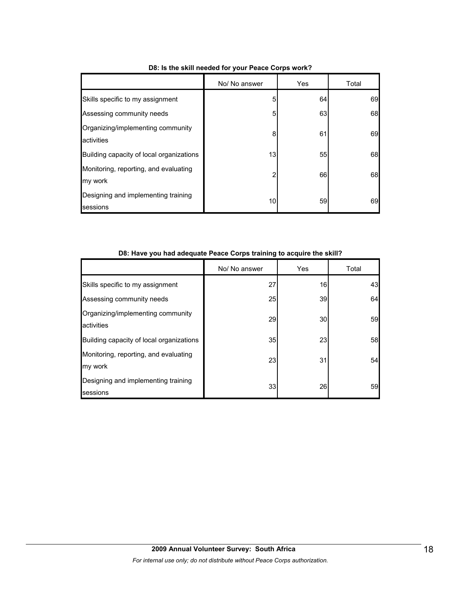|                                                  | No/ No answer  | Yes | Total |
|--------------------------------------------------|----------------|-----|-------|
| Skills specific to my assignment                 | 5              | 64  | 69    |
| Assessing community needs                        | 5              | 63  | 68    |
| Organizing/implementing community<br>activities  | 8              | 61  | 69    |
| Building capacity of local organizations         | 13             | 55  | 68    |
| Monitoring, reporting, and evaluating<br>my work | $\overline{2}$ | 66  | 68    |
| Designing and implementing training<br>sessions  | 10             | 59  | 69    |

#### **D8: Is the skill needed for your Peace Corps work?**

|  | D8: Have you had adequate Peace Corps training to acquire the skill? |  |
|--|----------------------------------------------------------------------|--|
|--|----------------------------------------------------------------------|--|

|                                                        | No/ No answer | Yes | Total |
|--------------------------------------------------------|---------------|-----|-------|
| Skills specific to my assignment                       | 27            | 16  | 43    |
| Assessing community needs                              | <b>25</b>     | 39  | 64    |
| Organizing/implementing community<br><b>activities</b> | 29            | 30  | 59    |
| Building capacity of local organizations               | 35            | 23  | 58    |
| Monitoring, reporting, and evaluating<br>my work       | 23            | 31  | 54    |
| Designing and implementing training<br>sessions        | 33            | 26  | 59    |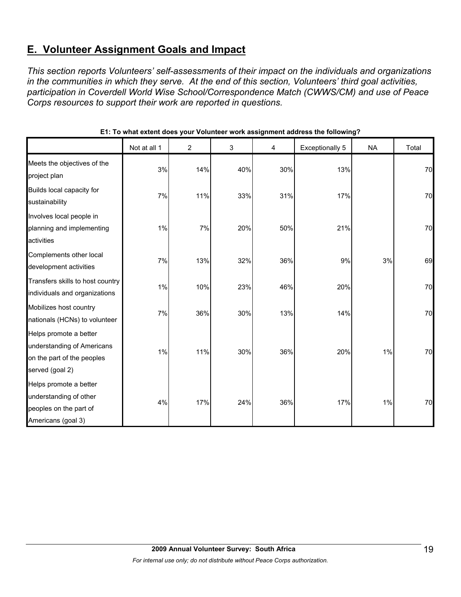## **E. Volunteer Assignment Goals and Impact**

*This section reports Volunteers' self-assessments of their impact on the individuals and organizations in the communities in which they serve. At the end of this section, Volunteers' third goal activities, participation in Coverdell World Wise School/Correspondence Match (CWWS/CM) and use of Peace Corps resources to support their work are reported in questions.* 

|                                                                                                       | Not at all 1 | $\overline{c}$ | 3   | 4   | <b>Exceptionally 5</b> | <b>NA</b> | Total |
|-------------------------------------------------------------------------------------------------------|--------------|----------------|-----|-----|------------------------|-----------|-------|
| Meets the objectives of the<br>project plan                                                           | 3%           | 14%            | 40% | 30% | 13%                    |           | 70    |
| Builds local capacity for<br>sustainability                                                           | 7%           | 11%            | 33% | 31% | 17%                    |           | 70    |
| Involves local people in<br>planning and implementing<br>activities                                   | 1%           | 7%             | 20% | 50% | 21%                    |           | 70    |
| Complements other local<br>development activities                                                     | 7%           | 13%            | 32% | 36% | 9%                     | 3%        | 69    |
| Transfers skills to host country<br>individuals and organizations                                     | 1%           | 10%            | 23% | 46% | 20%                    |           | 70    |
| Mobilizes host country<br>nationals (HCNs) to volunteer                                               | 7%           | 36%            | 30% | 13% | 14%                    |           | 70    |
| Helps promote a better<br>understanding of Americans<br>on the part of the peoples<br>served (goal 2) | 1%           | 11%            | 30% | 36% | 20%                    | 1%        | 70    |
| Helps promote a better<br>understanding of other<br>peoples on the part of<br>Americans (goal 3)      | 4%           | 17%            | 24% | 36% | 17%                    | 1%        | 70    |

#### **E1: To what extent does your Volunteer work assignment address the following?**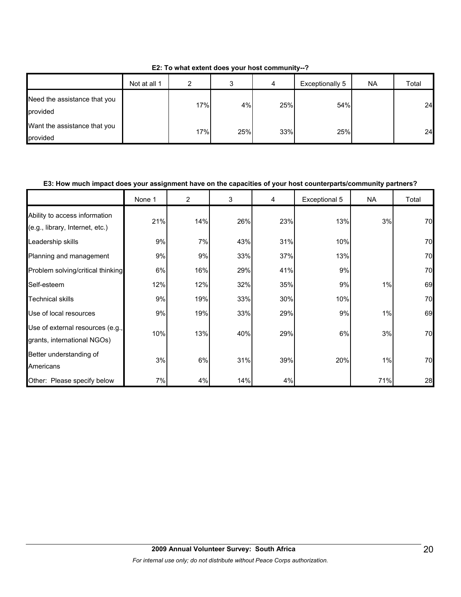| E2: To what extent does your host community--? |  |  |
|------------------------------------------------|--|--|
|------------------------------------------------|--|--|

|                                          | Not at all 1 | ົ   | J   | 4   | Exceptionally 5 | <b>NA</b> | Total |
|------------------------------------------|--------------|-----|-----|-----|-----------------|-----------|-------|
| Need the assistance that you<br>provided |              | 17% | 4%  | 25% | 54%             |           | 24    |
| Want the assistance that you<br>provided |              | 17% | 25% | 33% | 25%             |           | 24    |

#### **E3: How much impact does your assignment have on the capacities of your host counterparts/community partners?**

|                                                                  | None 1 | $\overline{2}$ | 3   | 4   | Exceptional 5 | <b>NA</b> | Total |
|------------------------------------------------------------------|--------|----------------|-----|-----|---------------|-----------|-------|
| Ability to access information<br>(e.g., library, Internet, etc.) | 21%    | 14%            | 26% | 23% | 13%           | 3%        | 70    |
| Leadership skills                                                | 9%     | 7%             | 43% | 31% | 10%           |           | 70    |
| Planning and management                                          | 9%     | 9%             | 33% | 37% | 13%           |           | 70    |
| Problem solving/critical thinking                                | 6%     | 16%            | 29% | 41% | 9%            |           | 70    |
| Self-esteem                                                      | 12%    | 12%            | 32% | 35% | 9%            | 1%        | 69    |
| <b>Technical skills</b>                                          | 9%     | 19%            | 33% | 30% | 10%           |           | 70    |
| Use of local resources                                           | 9%     | 19%            | 33% | 29% | 9%            | 1%        | 69    |
| Use of external resources (e.g.,<br>grants, international NGOs)  | 10%    | 13%            | 40% | 29% | 6%            | 3%        | 70    |
| Better understanding of<br>Americans                             | 3%     | 6%             | 31% | 39% | 20%           | 1%        | 70    |
| Other: Please specify below                                      | 7%     | 4%             | 14% | 4%  |               | 71%       | 28    |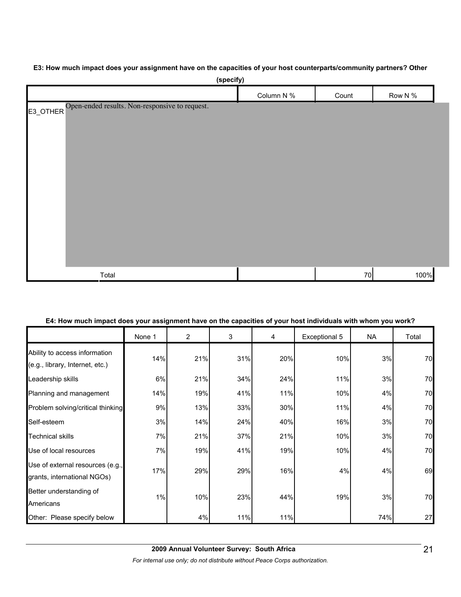#### **E3: How much impact does your assignment have on the capacities of your host counterparts/community partners? Other**

| (specify)                                               |            |       |         |
|---------------------------------------------------------|------------|-------|---------|
|                                                         | Column N % | Count | Row N % |
| E3_OTHER Open-ended results. Non-responsive to request. |            |       |         |
| Total                                                   |            | 70    | 100%    |

#### **E4: How much impact does your assignment have on the capacities of your host individuals with whom you work?**

|                                                                  | None 1 | $\overline{2}$ | 3   | 4   | Exceptional 5 | <b>NA</b> | Total |
|------------------------------------------------------------------|--------|----------------|-----|-----|---------------|-----------|-------|
| Ability to access information<br>(e.g., library, Internet, etc.) | 14%    | 21%            | 31% | 20% | 10%           | 3%        | 70    |
| Leadership skills                                                | 6%     | 21%            | 34% | 24% | 11%           | 3%        | 70    |
| Planning and management                                          | 14%    | 19%            | 41% | 11% | 10%           | 4%        | 70    |
| Problem solving/critical thinking                                | 9%     | 13%            | 33% | 30% | 11%           | 4%        | 70    |
| Self-esteem                                                      | 3%     | 14%            | 24% | 40% | 16%           | 3%        | 70    |
| <b>Technical skills</b>                                          | 7%     | 21%            | 37% | 21% | 10%           | 3%        | 70    |
| Use of local resources                                           | 7%     | 19%            | 41% | 19% | 10%           | 4%        | 70    |
| Use of external resources (e.g.,<br>grants, international NGOs)  | 17%    | 29%            | 29% | 16% | 4%            | 4%        | 69    |
| Better understanding of<br>Americans                             | 1%     | 10%            | 23% | 44% | 19%           | 3%        | 70    |
| Other: Please specify below                                      |        | 4%             | 11% | 11% |               | 74%       | 27    |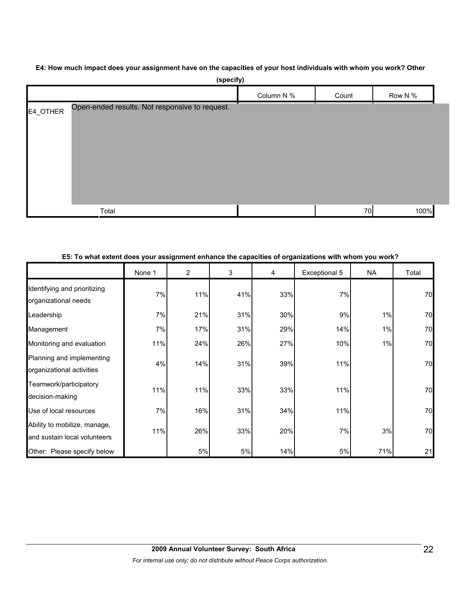#### **E4: How much impact does your assignment have on the capacities of your host individuals with whom you work? Other**

|          | (specify)                                      |            |       |         |
|----------|------------------------------------------------|------------|-------|---------|
|          |                                                | Column N % | Count | Row N % |
| E4_OTHER | Open-ended results. Not responsive to request. |            |       |         |
|          |                                                |            |       |         |
|          |                                                |            |       |         |
|          |                                                |            |       |         |
|          |                                                |            |       |         |
|          |                                                |            |       |         |
|          |                                                |            |       |         |
|          | Total                                          |            | 70    | 100%    |

#### **E5: To what extent does your assignment enhance the capacities of organizations with whom you work?**

|                                                              | None 1 | 2   | 3   | 4   | Exceptional 5 | <b>NA</b> | Total |
|--------------------------------------------------------------|--------|-----|-----|-----|---------------|-----------|-------|
| Identifying and prioritizing<br>organizational needs         | 7%     | 11% | 41% | 33% | 7%            |           | 70    |
| Leadership                                                   | 7%     | 21% | 31% | 30% | 9%            | 1%        | 70    |
| Management                                                   | 7%     | 17% | 31% | 29% | 14%           | 1%        | 70    |
| Monitoring and evaluation                                    | 11%    | 24% | 26% | 27% | 10%           | 1%        | 70    |
| Planning and implementing<br>organizational activities       | 4%     | 14% | 31% | 39% | 11%           |           | 70    |
| Teamwork/participatory<br>decision-making                    | 11%    | 11% | 33% | 33% | 11%           |           | 70    |
| Use of local resources                                       | 7%     | 16% | 31% | 34% | 11%           |           | 70    |
| Ability to mobilize, manage,<br>and sustain local volunteers | 11%    | 26% | 33% | 20% | 7%            | 3%        | 70    |
| Other: Please specify below                                  |        | 5%  | 5%  | 14% | 5%            | 71%       | 21    |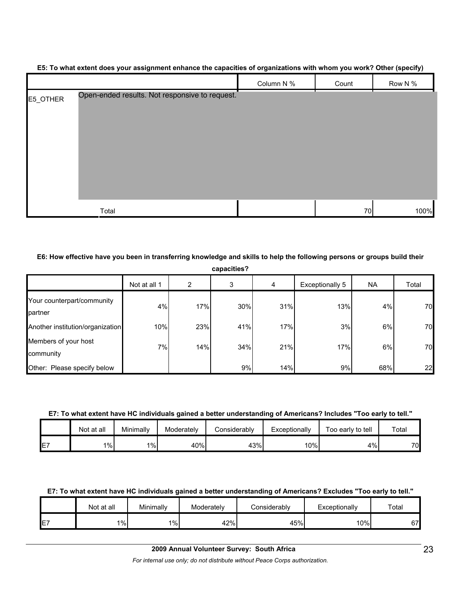|          |                                                | Column N % | Count | Row N % |
|----------|------------------------------------------------|------------|-------|---------|
| E5_OTHER | Open-ended results. Not responsive to request. |            |       |         |
|          | Total                                          |            | 70    | 100%    |

#### **E5: To what extent does your assignment enhance the capacities of organizations with whom you work? Other (specify)**

#### **E6: How effective have you been in transferring knowledge and skills to help the following persons or groups build their**

| capacities? |  |
|-------------|--|
|             |  |

|                                       | Not at all 1 | 2   | 3   | 4   | Exceptionally 5 | <b>NA</b> | Total |
|---------------------------------------|--------------|-----|-----|-----|-----------------|-----------|-------|
| Your counterpart/community<br>partner | 4%           | 17% | 30% | 31% | 13%             | 4%        | 70    |
| Another institution/organization      | 10%          | 23% | 41% | 17% | 3%              | 6%        | 70    |
| Members of your host<br>community     | 7%           | 14% | 34% | 21% | 17%             | 6%        | 70    |
| Other: Please specify below           |              |     | 9%  | 14% | 9%              | 68%       | 22    |

#### **E7: To what extent have HC individuals gained a better understanding of Americans? Includes "Too early to tell."**

|                 | Not at all | Minimally | Moderately | Considerablv | Exceptionally | Too early to tell | Total           |
|-----------------|------------|-----------|------------|--------------|---------------|-------------------|-----------------|
| IE <sub>7</sub> | $1\%$      | 1%        | 40%        | 43%          | 10%           | 4%                | 70 <sub>l</sub> |

#### **E7: To what extent have HC individuals gained a better understanding of Americans? Excludes "Too early to tell."**

|                 | Not at all | Minimally | Moderately | :onsiderablv | Exceptionally | $\tau$ otai |
|-----------------|------------|-----------|------------|--------------|---------------|-------------|
| IE <sub>7</sub> | $1\%$      | $1\%$     | 42%        | 45%          | $10\%$        | 67          |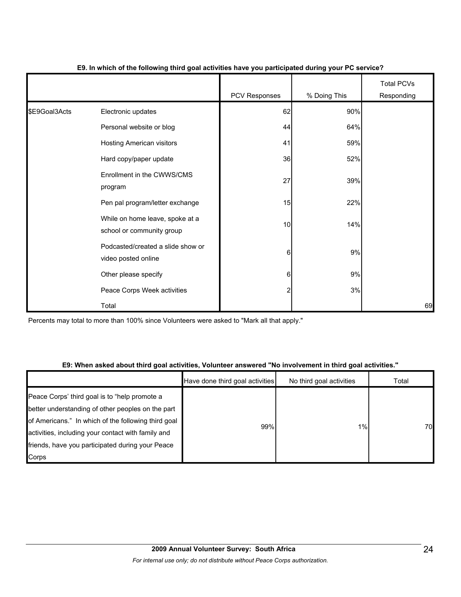|               |                                                              | PCV Responses    | % Doing This | <b>Total PCVs</b><br>Responding |
|---------------|--------------------------------------------------------------|------------------|--------------|---------------------------------|
| \$E9Goal3Acts | Electronic updates                                           | 62               | 90%          |                                 |
|               | Personal website or blog                                     | 44               | 64%          |                                 |
|               | Hosting American visitors                                    | 41               | 59%          |                                 |
|               | Hard copy/paper update                                       | 36               | 52%          |                                 |
|               | Enrollment in the CWWS/CMS<br>program                        | 27               | 39%          |                                 |
|               | Pen pal program/letter exchange                              | 15               | 22%          |                                 |
|               | While on home leave, spoke at a<br>school or community group | 10               | 14%          |                                 |
|               | Podcasted/created a slide show or<br>video posted online     | $6 \overline{6}$ | 9%           |                                 |
|               | Other please specify                                         | $6 \overline{6}$ | 9%           |                                 |
|               | Peace Corps Week activities                                  | $\overline{c}$   | 3%           |                                 |
|               | Total                                                        |                  |              | 69                              |

#### **E9. In which of the following third goal activities have you participated during your PC service?**

Percents may total to more than 100% since Volunteers were asked to "Mark all that apply."

#### **E9: When asked about third goal activities, Volunteer answered "No involvement in third goal activities."**

|                                                                                                                                                                                                                                                                              | Have done third goal activities | No third goal activities | Total |
|------------------------------------------------------------------------------------------------------------------------------------------------------------------------------------------------------------------------------------------------------------------------------|---------------------------------|--------------------------|-------|
| Peace Corps' third goal is to "help promote a<br>better understanding of other peoples on the part<br>of Americans." In which of the following third goal<br>activities, including your contact with family and<br>friends, have you participated during your Peace<br>Corps | 99%                             | $1\%$                    | 70    |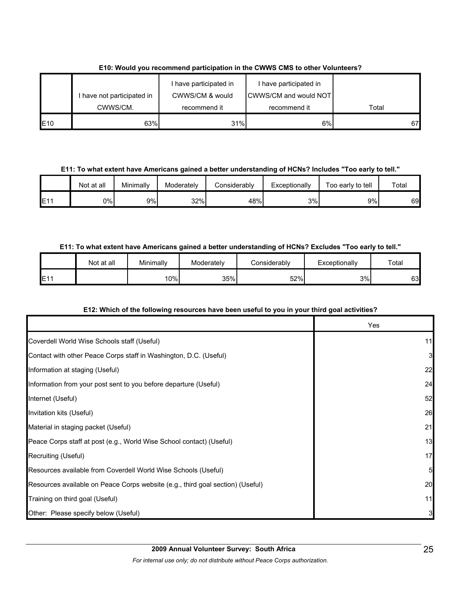|     |                            | have participated in | I have participated in        |       |
|-----|----------------------------|----------------------|-------------------------------|-------|
|     | I have not participated in | CWWS/CM & would      | <b>CWWS/CM and would NOTI</b> |       |
|     | CWWS/CM.                   | recommend it         | recommend it                  | Total |
| E10 | 63%                        | 31%                  | 6%                            | 67    |

#### **E10: Would you recommend participation in the CWWS CMS to other Volunteers?**

**E11: To what extent have Americans gained a better understanding of HCNs? Includes "Too early to tell."**

|     | Not at all | Minimally | Moderately | Considerablv | Exceptionally | Too early to tell | Total |
|-----|------------|-----------|------------|--------------|---------------|-------------------|-------|
| E1' | 0%l        | 9%        | 32%        | 48%          | 3%            | 9%l               | 69    |

#### **E11: To what extent have Americans gained a better understanding of HCNs? Excludes "Too early to tell."**

|           | Not at all | Minimallv | Moderately | Considerablv | Exceptionally | Total |
|-----------|------------|-----------|------------|--------------|---------------|-------|
| E11<br>∟ı |            | $10\%$    | 35%        | 52%          | 3%            | 63    |

#### **E12: Which of the following resources have been useful to you in your third goal activities?**

|                                                                                | Yes          |
|--------------------------------------------------------------------------------|--------------|
| Coverdell World Wise Schools staff (Useful)                                    | 11           |
| Contact with other Peace Corps staff in Washington, D.C. (Useful)              | $\mathbf{3}$ |
| Information at staging (Useful)                                                | 22           |
| Information from your post sent to you before departure (Useful)               | 24           |
| Internet (Useful)                                                              | 52           |
| Invitation kits (Useful)                                                       | 26           |
| Material in staging packet (Useful)                                            | 21           |
| Peace Corps staff at post (e.g., World Wise School contact) (Useful)           | 13           |
| Recruiting (Useful)                                                            | 17           |
| Resources available from Coverdell World Wise Schools (Useful)                 | 5            |
| Resources available on Peace Corps website (e.g., third goal section) (Useful) | 20           |
| Training on third goal (Useful)                                                | 11           |
| Other: Please specify below (Useful)                                           | 3            |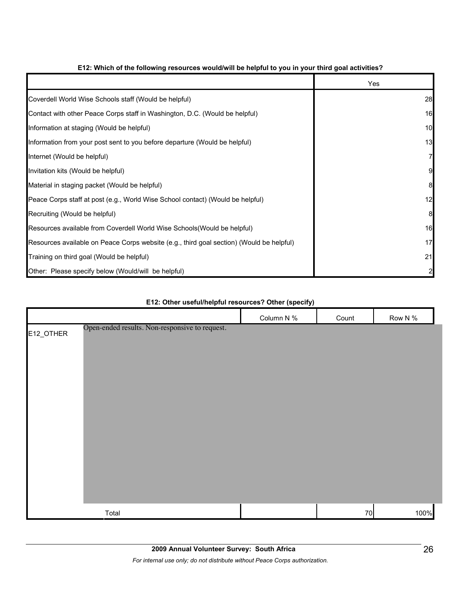|                                                                                          | Yes |
|------------------------------------------------------------------------------------------|-----|
| Coverdell World Wise Schools staff (Would be helpful)                                    | 28  |
| Contact with other Peace Corps staff in Washington, D.C. (Would be helpful)              | 16  |
| Information at staging (Would be helpful)                                                | 10  |
| Information from your post sent to you before departure (Would be helpful)               | 13  |
| Internet (Would be helpful)                                                              |     |
| Invitation kits (Would be helpful)                                                       |     |
| Material in staging packet (Would be helpful)                                            | 8   |
| Peace Corps staff at post (e.g., World Wise School contact) (Would be helpful)           | 12  |
| Recruiting (Would be helpful)                                                            | 8   |
| Resources available from Coverdell World Wise Schools (Would be helpful)                 | 16  |
| Resources available on Peace Corps website (e.g., third goal section) (Would be helpful) | 17  |
| Training on third goal (Would be helpful)                                                | 21  |
| Other: Please specify below (Would/will be helpful)                                      |     |

#### **E12: Which of the following resources would/will be helpful to you in your third goal activities?**

# Column N % Count Row N % E12\_OTHER Total 70 100% Open-ended results. Non-responsive to request.

#### **E12: Other useful/helpful resources? Other (specify)**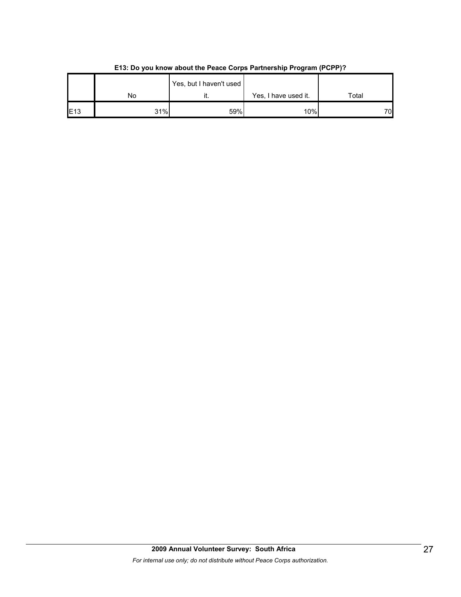|                 |     | Yes, but I haven't used |                      |       |
|-----------------|-----|-------------------------|----------------------|-------|
|                 | No  |                         | Yes, I have used it. | Total |
| E <sub>13</sub> | 31% | 59%                     | 10%                  | 70    |

**E13: Do you know about the Peace Corps Partnership Program (PCPP)?**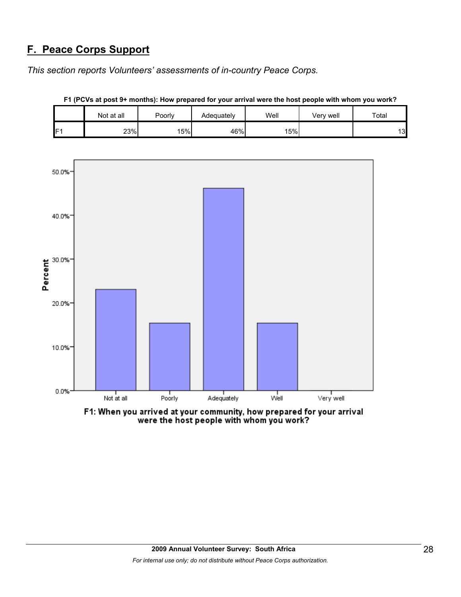## **F. Peace Corps Support**

*This section reports Volunteers' assessments of in-country Peace Corps.* 

|     | Not at all | Poorly | Adequately | Well | Verv well | Total |
|-----|------------|--------|------------|------|-----------|-------|
| IF1 | 23%        | 15%    | 46%        | 15%  |           | 13    |



**F1 (PCVs at post 9+ months): How prepared for your arrival were the host people with whom you work?**

F1: When you arrived at your community, how prepared for your arrival were the host people with whom you work?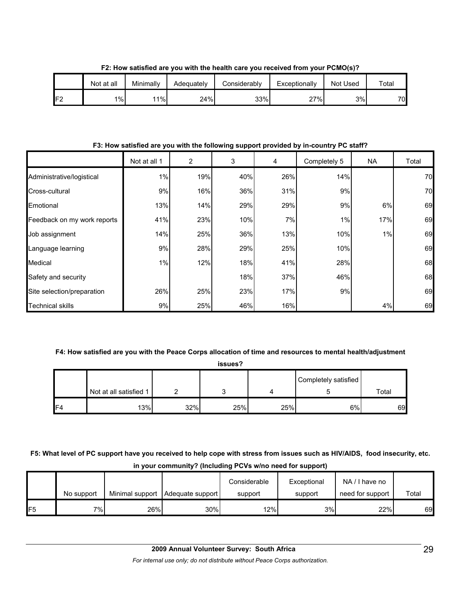|     | Not at all | Minimally | Adequately | Considerably | Exceptionally | Not Used | $\tau$ otal |
|-----|------------|-----------|------------|--------------|---------------|----------|-------------|
| IF2 | 1%         | 11%       | 24%        | 33%          | 27%           | 3%l      | 70          |

**F2: How satisfied are you with the health care you received from your PCMO(s)?**

**F3: How satisfied are you with the following support provided by in-country PC staff?**

|                             | Not at all 1 | 2   | 3   | 4   | Completely 5 | <b>NA</b> | Total |
|-----------------------------|--------------|-----|-----|-----|--------------|-----------|-------|
| Administrative/logistical   | 1%           | 19% | 40% | 26% | 14%          |           | 70    |
| Cross-cultural              | 9%           | 16% | 36% | 31% | 9%           |           | 70    |
| Emotional                   | 13%          | 14% | 29% | 29% | 9%           | 6%        | 69    |
| Feedback on my work reports | 41%          | 23% | 10% | 7%  | 1%           | 17%       | 69    |
| Job assignment              | 14%          | 25% | 36% | 13% | 10%          | 1%        | 69    |
| Language learning           | 9%           | 28% | 29% | 25% | 10%          |           | 69    |
| Medical                     | $1\%$        | 12% | 18% | 41% | 28%          |           | 68    |
| Safety and security         |              |     | 18% | 37% | 46%          |           | 68    |
| Site selection/preparation  | 26%          | 25% | 23% | 17% | 9%           |           | 69    |
| <b>Technical skills</b>     | 9%           | 25% | 46% | 16% |              | 4%        | 69    |

#### **F4: How satisfied are you with the Peace Corps allocation of time and resources to mental health/adjustment**

**issues?**

|                 |                        |     |     |     | Completely satisfied |       |  |  |
|-----------------|------------------------|-----|-----|-----|----------------------|-------|--|--|
|                 | Not at all satisfied 1 |     |     |     |                      | Total |  |  |
| IF <sub>4</sub> | 13%                    | 32% | 25% | 25% | 6%                   | 69    |  |  |

**F5: What level of PC support have you received to help cope with stress from issues such as HIV/AIDS, food insecurity, etc. in your community? (Including PCVs w/no need for support)**

|     |            |     |                                    | Considerable | Exceptional | NA/I have no     |       |
|-----|------------|-----|------------------------------------|--------------|-------------|------------------|-------|
|     | No support |     | Minimal support   Adequate support | support      | support     | need for support | Total |
| IF5 | 7% l       | 26% | 30%                                | 12%          | 3%          | 22%              | 69    |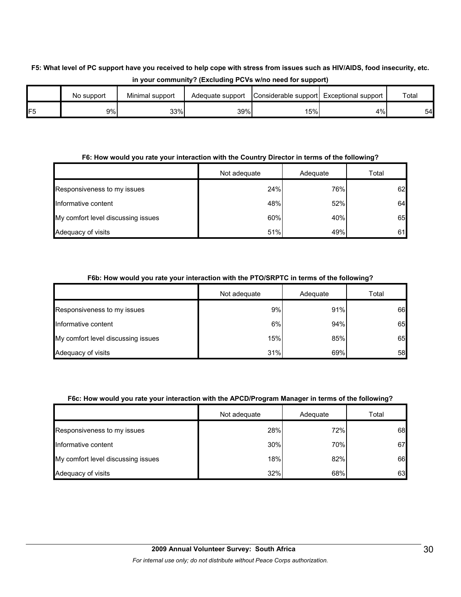#### **F5: What level of PC support have you received to help cope with stress from issues such as HIV/AIDS, food insecurity, etc. in your community? (Excluding PCVs w/no need for support)**

|                | No support | Minimal support | Adequate support | Considerable support Exceptional support |    | Total |
|----------------|------------|-----------------|------------------|------------------------------------------|----|-------|
| F <sub>5</sub> | 9%         | 33%             | 39%              | 15%                                      | 4% | 54    |

#### **F6: How would you rate your interaction with the Country Director in terms of the following?**

|                                    | Not adequate | Adequate | Total |
|------------------------------------|--------------|----------|-------|
| Responsiveness to my issues        | 24%          | 76%      | 62    |
| Informative content                | 48%          | 52%      | 64    |
| My comfort level discussing issues | 60%          | 40%      | 65    |
| Adequacy of visits                 | 51%          | 49%      | 61    |

#### **F6b: How would you rate your interaction with the PTO/SRPTC in terms of the following?**

|                                    | Not adequate | Adequate | Total |
|------------------------------------|--------------|----------|-------|
| Responsiveness to my issues        | 9%           | 91%      | 66    |
| Informative content                | 6%           | 94%      | 65    |
| My comfort level discussing issues | 15%          | 85%      | 65    |
| Adequacy of visits                 | 31%          | 69%      | 58    |

#### **F6c: How would you rate your interaction with the APCD/Program Manager in terms of the following?**

|                                    | Not adequate | Adequate | Total |
|------------------------------------|--------------|----------|-------|
| Responsiveness to my issues        | 28%          | 72%      | 68    |
| Informative content                | 30%          | 70%      | 67    |
| My comfort level discussing issues | 18%          | 82%      | 66    |
| Adequacy of visits                 | 32%          | 68%      | 63    |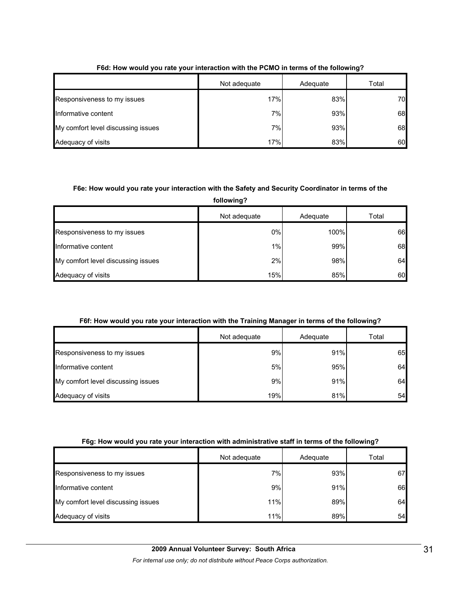|                                    | Not adequate | Adequate | Total |
|------------------------------------|--------------|----------|-------|
| Responsiveness to my issues        | 17%          | 83%      | 70    |
| Informative content                | 7%           | 93%      | 68    |
| My comfort level discussing issues | 7%           | 93%      | 68    |
| Adequacy of visits                 | 17%          | 83%      | 60    |

#### **F6d: How would you rate your interaction with the PCMO in terms of the following?**

#### **F6e: How would you rate your interaction with the Safety and Security Coordinator in terms of the**

**following?**

|                                    | Not adequate | Adequate | Total |
|------------------------------------|--------------|----------|-------|
| Responsiveness to my issues        | 0%           | 100%     | 66    |
| Informative content                | $1\%$        | 99%      | 68    |
| My comfort level discussing issues | 2%           | 98%      | 64    |
| Adequacy of visits                 | 15%          | 85%      | 60    |

#### **F6f: How would you rate your interaction with the Training Manager in terms of the following?**

|                                    | Not adequate | Adequate | Total |
|------------------------------------|--------------|----------|-------|
| Responsiveness to my issues        | 9%           | 91%      | 65    |
| Informative content                | 5%           | 95%      | 64    |
| My comfort level discussing issues | 9%           | 91%      | 64    |
| Adequacy of visits                 | 19%          | 81%      | 54    |

#### **F6g: How would you rate your interaction with administrative staff in terms of the following?**

|                                    | Not adequate | Adequate | Total |
|------------------------------------|--------------|----------|-------|
| Responsiveness to my issues        | 7%           | 93%      | 67    |
| Informative content                | 9%           | 91%      | 66    |
| My comfort level discussing issues | 11%          | 89%      | 64    |
| Adequacy of visits                 | 11%          | 89%      | 54    |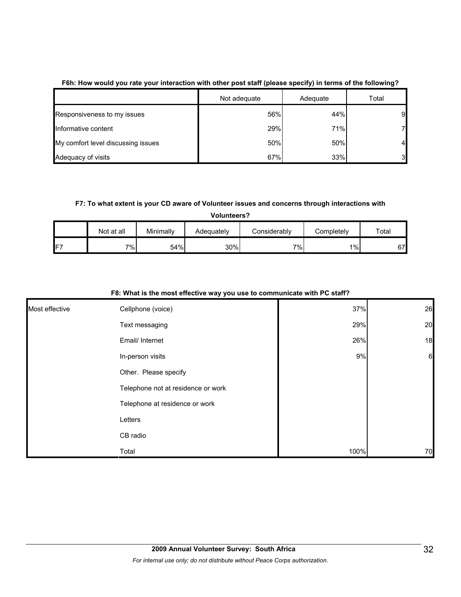|                                    | Not adequate | Adequate | Total |
|------------------------------------|--------------|----------|-------|
| Responsiveness to my issues        | 56%          | 44%      | 9     |
| Informative content                | 29%          | 71%      | 7     |
| My comfort level discussing issues | 50%          | 50%      | 4     |
| Adequacy of visits                 | 67%          | 33%      | 3     |

#### **F6h: How would you rate your interaction with other post staff (please specify) in terms of the following?**

#### **F7: To what extent is your CD aware of Volunteer issues and concerns through interactions with**

|    | <b>Volunteers?</b> |           |            |              |            |       |  |
|----|--------------------|-----------|------------|--------------|------------|-------|--|
|    | Not at all         | Minimally | Adequately | Considerably | Completely | Total |  |
| F7 | 7%                 | 54%       | 30%        | 7%           | 1%         | 67    |  |

|                | $\sim$ . There is the most chootive way you use to communicate with $\sim$ |      |                 |
|----------------|----------------------------------------------------------------------------|------|-----------------|
| Most effective | Cellphone (voice)                                                          | 37%  | 26              |
|                | Text messaging                                                             | 29%  | 20              |
|                | Email/ Internet                                                            | 26%  | 18              |
|                | In-person visits                                                           | 9%   | $6\phantom{.}6$ |
|                | Other. Please specify                                                      |      |                 |
|                | Telephone not at residence or work                                         |      |                 |
|                | Telephone at residence or work                                             |      |                 |
|                | Letters                                                                    |      |                 |
|                | CB radio                                                                   |      |                 |
|                | Total                                                                      | 100% | 70              |

#### **F8: What is the most effective way you use to communicate with PC staff?**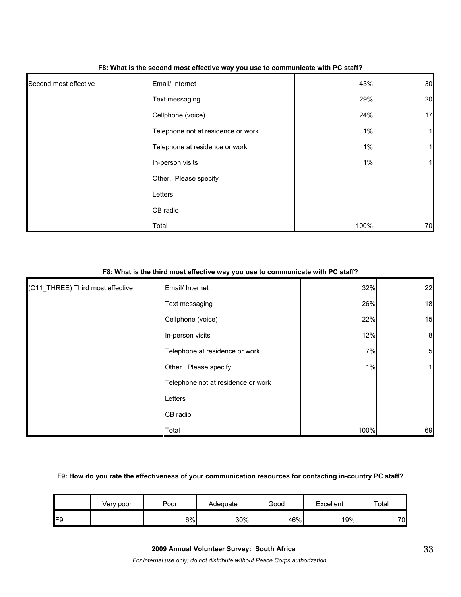|                       | - -                                |       |              |
|-----------------------|------------------------------------|-------|--------------|
| Second most effective | Email/ Internet                    | 43%   | 30           |
|                       | Text messaging                     | 29%   | 20           |
|                       | Cellphone (voice)                  | 24%   | 17           |
|                       | Telephone not at residence or work | $1\%$ | $\mathbf{1}$ |
|                       | Telephone at residence or work     | 1%    | 1            |
|                       | In-person visits                   | 1%    | 1            |
|                       | Other. Please specify              |       |              |
|                       | Letters                            |       |              |
|                       | CB radio                           |       |              |
|                       | Total                              | 100%  | 70           |

#### **F8: What is the second most effective way you use to communicate with PC staff?**

#### **F8: What is the third most effective way you use to communicate with PC staff?**

| (C11_THREE) Third most effective | Email/ Internet                    | 32%  | 22               |
|----------------------------------|------------------------------------|------|------------------|
|                                  | Text messaging                     | 26%  | 18               |
|                                  | Cellphone (voice)                  | 22%  | 15               |
|                                  | In-person visits                   | 12%  | $\boldsymbol{8}$ |
|                                  | Telephone at residence or work     | 7%   | $5\overline{a}$  |
|                                  | Other. Please specify              | 1%   |                  |
|                                  | Telephone not at residence or work |      |                  |
|                                  | Letters                            |      |                  |
|                                  | CB radio                           |      |                  |
|                                  | Total                              | 100% | 69               |

#### **F9: How do you rate the effectiveness of your communication resources for contacting in-country PC staff?**

|     | Very poor | Poor | Adequate | Good | Excellent | Total |
|-----|-----------|------|----------|------|-----------|-------|
| IF9 |           | 6%   | 30%      | 46%  | 19%       | 70    |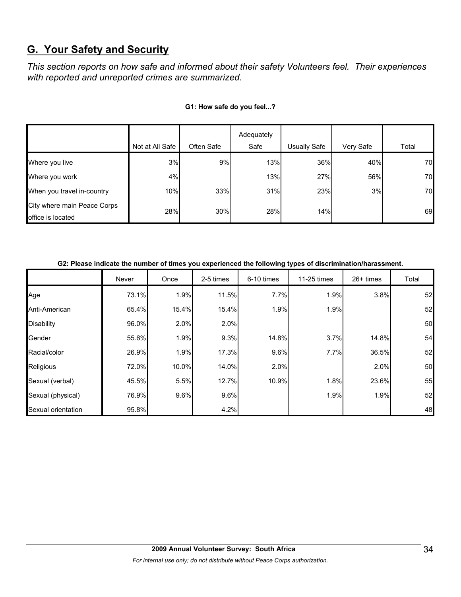## **G. Your Safety and Security**

*This section reports on how safe and informed about their safety Volunteers feel. Their experiences with reported and unreported crimes are summarized.* 

|                                                  |                 |            | Adequately |              |           |       |
|--------------------------------------------------|-----------------|------------|------------|--------------|-----------|-------|
|                                                  | Not at All Safe | Often Safe | Safe       | Usually Safe | Very Safe | Total |
| Where you live                                   | 3%              | 9%         | 13%        | 36%          | 40%       | 70    |
| Where you work                                   | 4%              |            | 13%        | 27%          | 56%       | 70    |
| When you travel in-country                       | 10%             | 33%        | 31%        | 23%          | 3%        | 70    |
| City where main Peace Corps<br>office is located | 28%             | 30%        | 28%        | 14%          |           | 69    |

#### **G1: How safe do you feel...?**

|                    | Never | Once  | 2-5 times | 6-10 times | 11-25 times | $26+$ times | Total |
|--------------------|-------|-------|-----------|------------|-------------|-------------|-------|
| Age                | 73.1% | 1.9%  | 11.5%     | 7.7%       | 1.9%        | 3.8%        | 52    |
| Anti-American      | 65.4% | 15.4% | 15.4%     | 1.9%       | 1.9%        |             | 52    |
| Disability         | 96.0% | 2.0%  | 2.0%      |            |             |             | 50    |
| Gender             | 55.6% | 1.9%  | 9.3%      | 14.8%      | 3.7%        | 14.8%       | 54    |
| Racial/color       | 26.9% | 1.9%  | 17.3%     | 9.6%       | 7.7%        | 36.5%       | 52    |
| Religious          | 72.0% | 10.0% | 14.0%     | 2.0%       |             | 2.0%        | 50    |
| Sexual (verbal)    | 45.5% | 5.5%  | 12.7%     | 10.9%      | 1.8%        | 23.6%       | 55    |
| Sexual (physical)  | 76.9% | 9.6%  | 9.6%      |            | 1.9%        | 1.9%        | 52    |
| Sexual orientation | 95.8% |       | 4.2%      |            |             |             | 48    |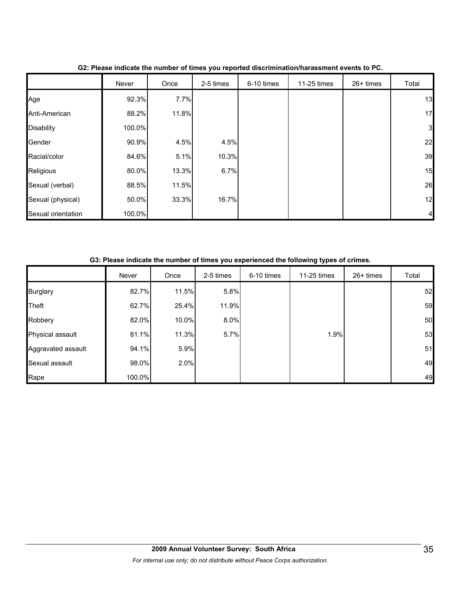|                    | Never  | Once  | 2-5 times | 6-10 times | 11-25 times | 26+ times | Total        |
|--------------------|--------|-------|-----------|------------|-------------|-----------|--------------|
| Age                | 92.3%  | 7.7%  |           |            |             |           | 13           |
| Anti-American      | 88.2%  | 11.8% |           |            |             |           | 17           |
| <b>Disability</b>  | 100.0% |       |           |            |             |           | $\mathbf{3}$ |
| Gender             | 90.9%  | 4.5%  | 4.5%      |            |             |           | 22           |
| Racial/color       | 84.6%  | 5.1%  | 10.3%     |            |             |           | 39           |
| Religious          | 80.0%  | 13.3% | 6.7%      |            |             |           | 15           |
| Sexual (verbal)    | 88.5%  | 11.5% |           |            |             |           | 26           |
| Sexual (physical)  | 50.0%  | 33.3% | 16.7%     |            |             |           | 12           |
| Sexual orientation | 100.0% |       |           |            |             |           |              |

#### **G2: Please indicate the number of times you reported discrimination/harassment events to PC.**

| G3: Please indicate the number of times you experienced the following types of crimes. |  |  |
|----------------------------------------------------------------------------------------|--|--|
|                                                                                        |  |  |

|                    | Never  | Once  | 2-5 times | 6-10 times | 11-25 times | $26+$ times | Total |
|--------------------|--------|-------|-----------|------------|-------------|-------------|-------|
| <b>Burglary</b>    | 82.7%  | 11.5% | 5.8%      |            |             |             | 52    |
| <b>Theft</b>       | 62.7%  | 25.4% | 11.9%     |            |             |             | 59    |
| Robbery            | 82.0%  | 10.0% | 8.0%      |            |             |             | 50    |
| Physical assault   | 81.1%  | 11.3% | 5.7%      |            | 1.9%        |             | 53    |
| Aggravated assault | 94.1%  | 5.9%  |           |            |             |             | 51    |
| Sexual assault     | 98.0%  | 2.0%  |           |            |             |             | 49    |
| Rape               | 100.0% |       |           |            |             |             | 49    |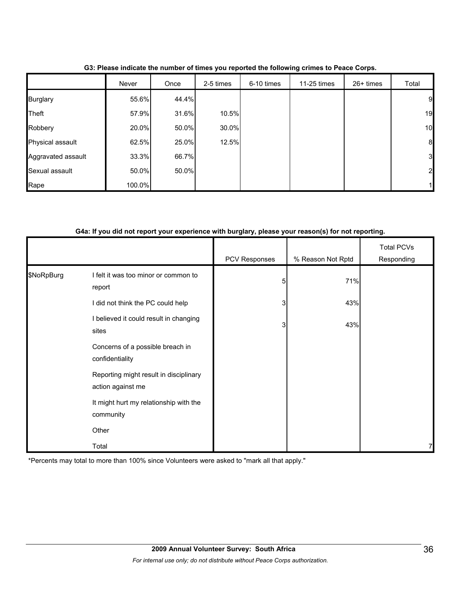|                    | Never  | Once  | 2-5 times | 6-10 times | 11-25 times | 26+ times | Total            |
|--------------------|--------|-------|-----------|------------|-------------|-----------|------------------|
| <b>Burglary</b>    | 55.6%  | 44.4% |           |            |             |           | 9                |
| Theft              | 57.9%  | 31.6% | 10.5%     |            |             |           | 19               |
| Robbery            | 20.0%  | 50.0% | 30.0%     |            |             |           | 10               |
| Physical assault   | 62.5%  | 25.0% | 12.5%     |            |             |           | $\boldsymbol{8}$ |
| Aggravated assault | 33.3%  | 66.7% |           |            |             |           | 3                |
| Sexual assault     | 50.0%  | 50.0% |           |            |             |           | $\overline{2}$   |
| Rape               | 100.0% |       |           |            |             |           |                  |

**G3: Please indicate the number of times you reported the following crimes to Peace Corps.**

#### **G4a: If you did not report your experience with burglary, please your reason(s) for not reporting.**

|            |                                                             | PCV Responses  | % Reason Not Rptd | <b>Total PCVs</b><br>Responding |
|------------|-------------------------------------------------------------|----------------|-------------------|---------------------------------|
| \$NoRpBurg | I felt it was too minor or common to<br>report              | 5              | 71%               |                                 |
|            | did not think the PC could help                             | 3 <sub>l</sub> | 43%               |                                 |
|            | I believed it could result in changing<br>sites             | 3              | 43%               |                                 |
|            | Concerns of a possible breach in<br>confidentiality         |                |                   |                                 |
|            | Reporting might result in disciplinary<br>action against me |                |                   |                                 |
|            | It might hurt my relationship with the<br>community         |                |                   |                                 |
|            | Other                                                       |                |                   |                                 |
|            | Total                                                       |                |                   | 71                              |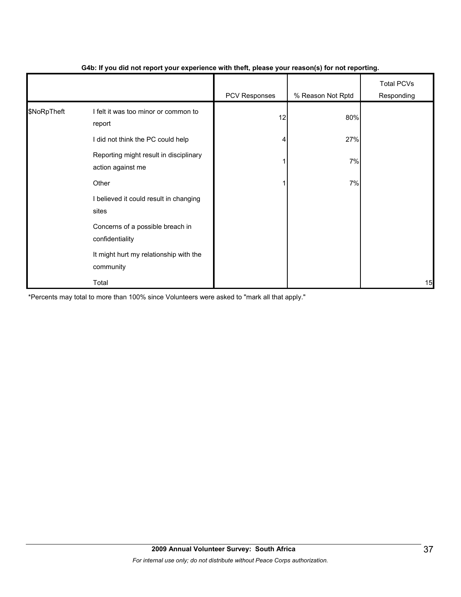|             |                                                             | - 1           | $\mathbf{v}$      |                                 |
|-------------|-------------------------------------------------------------|---------------|-------------------|---------------------------------|
|             |                                                             | PCV Responses | % Reason Not Rptd | <b>Total PCVs</b><br>Responding |
| \$NoRpTheft | I felt it was too minor or common to<br>report              | 12            | 80%               |                                 |
|             | I did not think the PC could help                           |               | 27%               |                                 |
|             | Reporting might result in disciplinary<br>action against me |               | 7%                |                                 |
|             | Other                                                       |               | 7%                |                                 |
|             | I believed it could result in changing<br>sites             |               |                   |                                 |
|             | Concerns of a possible breach in<br>confidentiality         |               |                   |                                 |
|             | It might hurt my relationship with the<br>community         |               |                   |                                 |
|             | Total                                                       |               |                   | 15                              |

#### **G4b: If you did not report your experience with theft, please your reason(s) for not reporting.**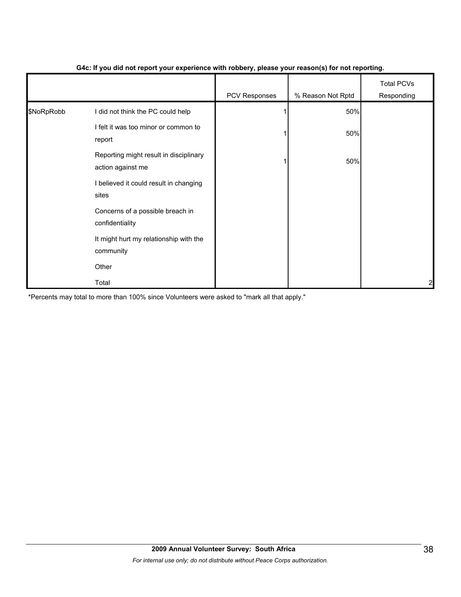|            |                                                             | PCV Responses | % Reason Not Rptd | <b>Total PCVs</b><br>Responding |
|------------|-------------------------------------------------------------|---------------|-------------------|---------------------------------|
| \$NoRpRobb | I did not think the PC could help                           |               | 50%               |                                 |
|            | I felt it was too minor or common to<br>report              |               | 50%               |                                 |
|            | Reporting might result in disciplinary<br>action against me |               | 50%               |                                 |
|            | I believed it could result in changing<br>sites             |               |                   |                                 |
|            | Concerns of a possible breach in<br>confidentiality         |               |                   |                                 |
|            | It might hurt my relationship with the<br>community         |               |                   |                                 |
|            | Other                                                       |               |                   |                                 |
|            | Total                                                       |               |                   | $\overline{a}$                  |

#### **G4c: If you did not report your experience with robbery, please your reason(s) for not reporting.**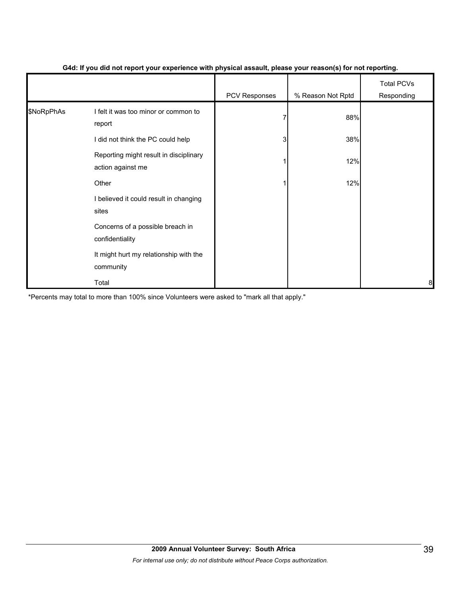|            |                                                             | . .           | $\mathbf{v}$      |                                 |
|------------|-------------------------------------------------------------|---------------|-------------------|---------------------------------|
|            |                                                             | PCV Responses | % Reason Not Rptd | <b>Total PCVs</b><br>Responding |
| \$NoRpPhAs | I felt it was too minor or common to<br>report              |               | 88%               |                                 |
|            | I did not think the PC could help                           | 3             | 38%               |                                 |
|            | Reporting might result in disciplinary<br>action against me |               | 12%               |                                 |
|            | Other                                                       |               | 12%               |                                 |
|            | I believed it could result in changing<br>sites             |               |                   |                                 |
|            | Concerns of a possible breach in<br>confidentiality         |               |                   |                                 |
|            | It might hurt my relationship with the<br>community         |               |                   |                                 |
|            | Total                                                       |               |                   | 8                               |

#### **G4d: If you did not report your experience with physical assault, please your reason(s) for not reporting.**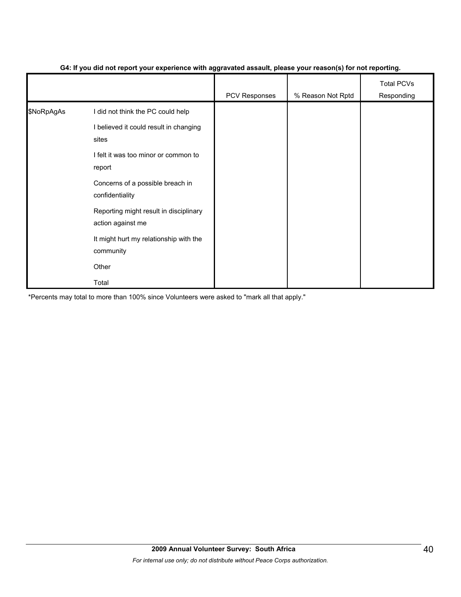|            |                                                             | ັ<br>- 1      | $\mathbf{v}$      |                                 |
|------------|-------------------------------------------------------------|---------------|-------------------|---------------------------------|
|            |                                                             | PCV Responses | % Reason Not Rptd | <b>Total PCVs</b><br>Responding |
| \$NoRpAgAs | I did not think the PC could help                           |               |                   |                                 |
|            | I believed it could result in changing<br>sites             |               |                   |                                 |
|            | I felt it was too minor or common to<br>report              |               |                   |                                 |
|            | Concerns of a possible breach in<br>confidentiality         |               |                   |                                 |
|            | Reporting might result in disciplinary<br>action against me |               |                   |                                 |
|            | It might hurt my relationship with the<br>community         |               |                   |                                 |
|            | Other                                                       |               |                   |                                 |
|            | Total                                                       |               |                   |                                 |

#### **G4: If you did not report your experience with aggravated assault, please your reason(s) for not reporting.**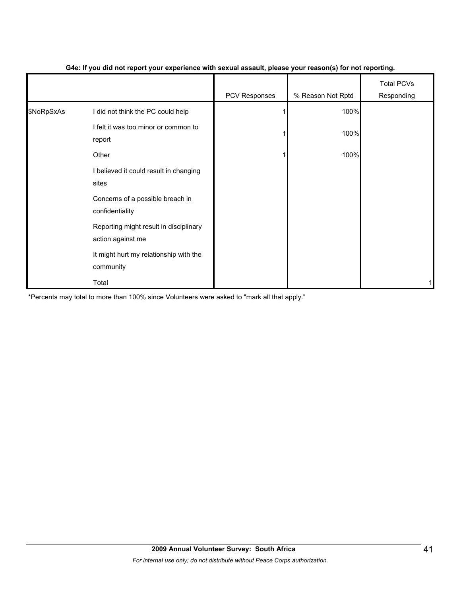|            |                                                             | - 1           | $\mathbf{v}$      |                                 |
|------------|-------------------------------------------------------------|---------------|-------------------|---------------------------------|
|            |                                                             | PCV Responses | % Reason Not Rptd | <b>Total PCVs</b><br>Responding |
| \$NoRpSxAs | I did not think the PC could help                           |               | 100%              |                                 |
|            | I felt it was too minor or common to<br>report              |               | 100%              |                                 |
|            | Other                                                       |               | 100%              |                                 |
|            | I believed it could result in changing<br>sites             |               |                   |                                 |
|            | Concerns of a possible breach in<br>confidentiality         |               |                   |                                 |
|            | Reporting might result in disciplinary<br>action against me |               |                   |                                 |
|            | It might hurt my relationship with the<br>community         |               |                   |                                 |
|            | Total                                                       |               |                   |                                 |

#### **G4e: If you did not report your experience with sexual assault, please your reason(s) for not reporting.**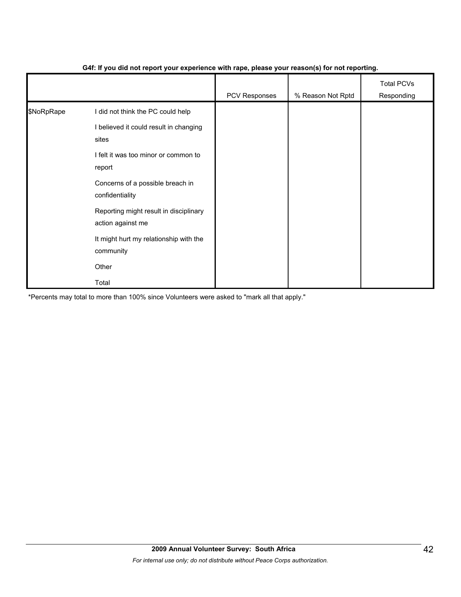|            |                                                             | PCV Responses | % Reason Not Rptd | <b>Total PCVs</b><br>Responding |
|------------|-------------------------------------------------------------|---------------|-------------------|---------------------------------|
| \$NoRpRape | I did not think the PC could help                           |               |                   |                                 |
|            | I believed it could result in changing<br>sites             |               |                   |                                 |
|            | I felt it was too minor or common to<br>report              |               |                   |                                 |
|            | Concerns of a possible breach in<br>confidentiality         |               |                   |                                 |
|            | Reporting might result in disciplinary<br>action against me |               |                   |                                 |
|            | It might hurt my relationship with the<br>community         |               |                   |                                 |
|            | Other                                                       |               |                   |                                 |
|            | Total                                                       |               |                   |                                 |

#### **G4f: If you did not report your experience with rape, please your reason(s) for not reporting.**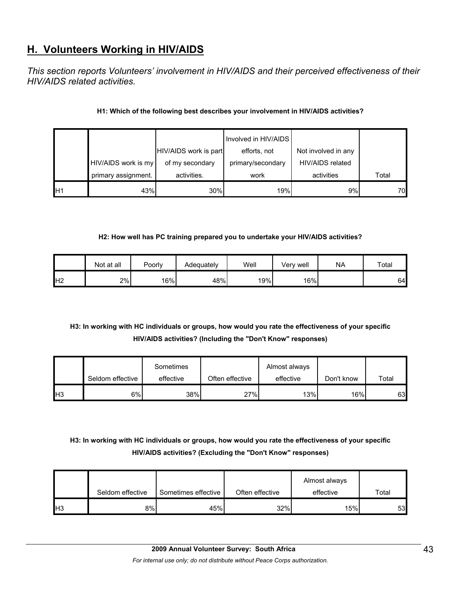## **H. Volunteers Working in HIV/AIDS**

*This section reports Volunteers' involvement in HIV/AIDS and their perceived effectiveness of their HIV/AIDS related activities.* 

#### **H1: Which of the following best describes your involvement in HIV/AIDS activities?**

|    |                     |                       | Involved in HIV/AIDS |                     |       |
|----|---------------------|-----------------------|----------------------|---------------------|-------|
|    |                     | HIV/AIDS work is part | efforts, not         | Not involved in any |       |
|    | HIV/AIDS work is my | of my secondary       | primary/secondary    | HIV/AIDS related    |       |
|    | primary assignment. | activities.           | work                 | activities          | Total |
| H1 | 43%                 | 30%                   | 19%                  | 9%1                 | 70    |

#### **H2: How well has PC training prepared you to undertake your HIV/AIDS activities?**

|                | Not at all | Poorly | Adequately | Well | Very well | <b>NA</b> | Total |
|----------------|------------|--------|------------|------|-----------|-----------|-------|
| H <sub>2</sub> | 2%         | 16%    | 48%        | 19%  | 16%       |           | 64    |

#### **H3: In working with HC individuals or groups, how would you rate the effectiveness of your specific HIV/AIDS activities? (Including the "Don't Know" responses)**

|                 |                  | Sometimes |                 | Almost always |            |       |
|-----------------|------------------|-----------|-----------------|---------------|------------|-------|
|                 | Seldom effective | effective | Often effective | effective     | Don't know | Total |
| IH <sub>3</sub> | 6%               | 38%       | 27%             | 13%           | 16%        | 63    |

### **H3: In working with HC individuals or groups, how would you rate the effectiveness of your specific HIV/AIDS activities? (Excluding the "Don't Know" responses)**

|                 | Seldom effective | Sometimes effective | Often effective | Almost always<br>effective | $\tau$ otal |
|-----------------|------------------|---------------------|-----------------|----------------------------|-------------|
| IH <sub>3</sub> | 8%               | 45%                 | 32%             | 15%                        | 53          |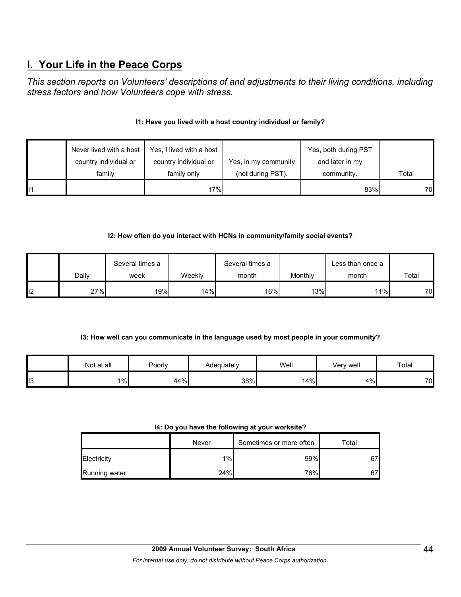## **I. Your Life in the Peace Corps**

*This section reports on Volunteers' descriptions of and adjustments to their living conditions, including stress factors and how Volunteers cope with stress.* 

#### **I1: Have you lived with a host country individual or family?**

|     | Never lived with a host | Yes, I lived with a host |                      | Yes, both during PST |       |
|-----|-------------------------|--------------------------|----------------------|----------------------|-------|
|     | country individual or   | country individual or    | Yes, in my community | and later in my      |       |
|     | family                  | family only              | (not during PST).    | community.           | Total |
| ll1 |                         | 17%                      |                      | 83%                  | 70    |

#### **I2: How often do you interact with HCNs in community/family social events?**

|    |       | Several times a |        | Several times a  |         | Less than once a |       |
|----|-------|-----------------|--------|------------------|---------|------------------|-------|
|    | Dailv | week            | Weekly | month            | Monthly | month            | Total |
| 12 | 27%   | 19%             | 14%    | 16% <sub>I</sub> | 13%     | 11%              | 70    |

#### **I3: How well can you communicate in the language used by most people in your community?**

|     | Not at all | Poorly | Adequately | Well | √erv well | Total |
|-----|------------|--------|------------|------|-----------|-------|
| ll3 | $1\%$      | 44%    | 36%        | 14%  | 4%        | 70    |

#### **I4: Do you have the following at your worksite?**

|               | Never | Sometimes or more often | Total  |
|---------------|-------|-------------------------|--------|
| Electricity   | 1%    | 99%                     | $\sim$ |
| Running water | 24%   | 76%                     | $\sim$ |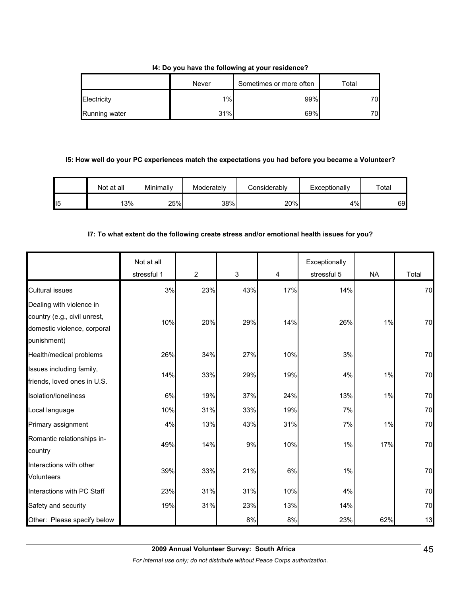#### **I4: Do you have the following at your residence?**

|               | Never | Sometimes or more often | Total |
|---------------|-------|-------------------------|-------|
| Electricity   | $1\%$ | 99%                     | 70    |
| Running water | 31%   | 69%                     | 70    |

#### **I5: How well do your PC experiences match the expectations you had before you became a Volunteer?**

|    | Not at all | Minimallv | Moderately | <b>Considerably</b> | Exceptionally | Total |
|----|------------|-----------|------------|---------------------|---------------|-------|
| 15 | 3%         | 25%       | 38%        | 20%                 | 4%            | 69    |

#### **I7: To what extent do the following create stress and/or emotional health issues for you?**

|                                                                                                        | Not at all<br>stressful 1 | $\overline{2}$ | $\mathfrak{S}$ | 4   | Exceptionally<br>stressful 5 | <b>NA</b> | Total |
|--------------------------------------------------------------------------------------------------------|---------------------------|----------------|----------------|-----|------------------------------|-----------|-------|
| <b>Cultural issues</b>                                                                                 | 3%                        | 23%            | 43%            | 17% | 14%                          |           | 70    |
| Dealing with violence in<br>country (e.g., civil unrest,<br>domestic violence, corporal<br>punishment) | 10%                       | 20%            | 29%            | 14% | 26%                          | 1%        | 70    |
| Health/medical problems                                                                                | 26%                       | 34%            | 27%            | 10% | 3%                           |           | 70    |
| Issues including family,<br>friends, loved ones in U.S.                                                | 14%                       | 33%            | 29%            | 19% | 4%                           | 1%        | 70    |
| Isolation/loneliness                                                                                   | 6%                        | 19%            | 37%            | 24% | 13%                          | 1%        | 70    |
| Local language                                                                                         | 10%                       | 31%            | 33%            | 19% | 7%                           |           | 70    |
| Primary assignment                                                                                     | 4%                        | 13%            | 43%            | 31% | 7%                           | 1%        | 70    |
| Romantic relationships in-<br>country                                                                  | 49%                       | 14%            | 9%             | 10% | 1%                           | 17%       | 70    |
| Interactions with other<br>Volunteers                                                                  | 39%                       | 33%            | 21%            | 6%  | 1%                           |           | 70    |
| Interactions with PC Staff                                                                             | 23%                       | 31%            | 31%            | 10% | 4%                           |           | 70    |
| Safety and security                                                                                    | 19%                       | 31%            | 23%            | 13% | 14%                          |           | 70    |
| Other: Please specify below                                                                            |                           |                | 8%             | 8%  | 23%                          | 62%       | 13    |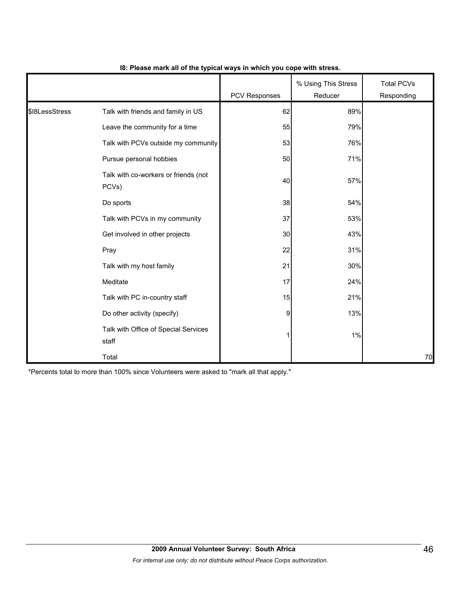|                |                                               | PCV Responses | % Using This Stress<br>Reducer | <b>Total PCVs</b><br>Responding |
|----------------|-----------------------------------------------|---------------|--------------------------------|---------------------------------|
| \$18LessStress | Talk with friends and family in US            | 62            | 89%                            |                                 |
|                | Leave the community for a time                | 55            | 79%                            |                                 |
|                | Talk with PCVs outside my community           | 53            | 76%                            |                                 |
|                | Pursue personal hobbies                       | 50            | 71%                            |                                 |
|                | Talk with co-workers or friends (not<br>PCVs) | 40            | 57%                            |                                 |
|                | Do sports                                     | 38            | 54%                            |                                 |
|                | Talk with PCVs in my community                | 37            | 53%                            |                                 |
|                | Get involved in other projects                | 30            | 43%                            |                                 |
|                | Pray                                          | 22            | 31%                            |                                 |
|                | Talk with my host family                      | 21            | 30%                            |                                 |
|                | Meditate                                      | 17            | 24%                            |                                 |
|                | Talk with PC in-country staff                 | 15            | 21%                            |                                 |
|                | Do other activity (specify)                   | 9             | 13%                            |                                 |
|                | Talk with Office of Special Services<br>staff |               | 1%                             |                                 |
|                | Total                                         |               |                                | 70                              |

#### **I8: Please mark all of the typical ways in which you cope with stress.**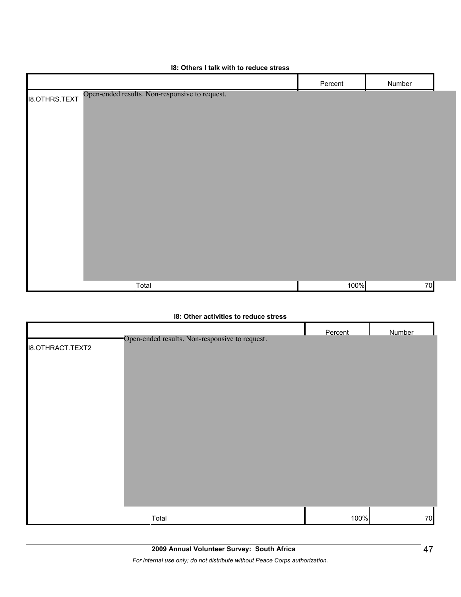| <b>10. Others I talk with to requee stress</b>                         |         |        |  |
|------------------------------------------------------------------------|---------|--------|--|
|                                                                        | Percent | Number |  |
| Open-ended results. Non-responsive to request.<br><b>I8.OTHRS.TEXT</b> |         |        |  |
|                                                                        |         |        |  |
|                                                                        |         |        |  |
|                                                                        |         |        |  |
|                                                                        |         |        |  |
|                                                                        |         |        |  |
|                                                                        |         |        |  |
|                                                                        |         |        |  |
|                                                                        |         |        |  |
|                                                                        |         |        |  |
|                                                                        |         |        |  |
|                                                                        |         |        |  |
|                                                                        |         |        |  |
| Total                                                                  | 100%    | 70     |  |

#### **I8: Others I talk with to reduce stress**

#### **I8: Other activities to reduce stress**

|                         |                                                | Percent | Number |
|-------------------------|------------------------------------------------|---------|--------|
| <b>I8.OTHRACT.TEXT2</b> | Open-ended results. Non-responsive to request. |         |        |
|                         |                                                |         |        |
|                         |                                                |         |        |
|                         |                                                |         |        |
|                         |                                                |         |        |
|                         |                                                |         |        |
|                         |                                                |         |        |
|                         |                                                |         |        |
|                         |                                                |         |        |
|                         |                                                |         |        |
|                         |                                                |         |        |
|                         |                                                |         |        |
|                         |                                                |         |        |
|                         |                                                |         |        |
|                         |                                                |         |        |
|                         | Total                                          | 100%    | 70     |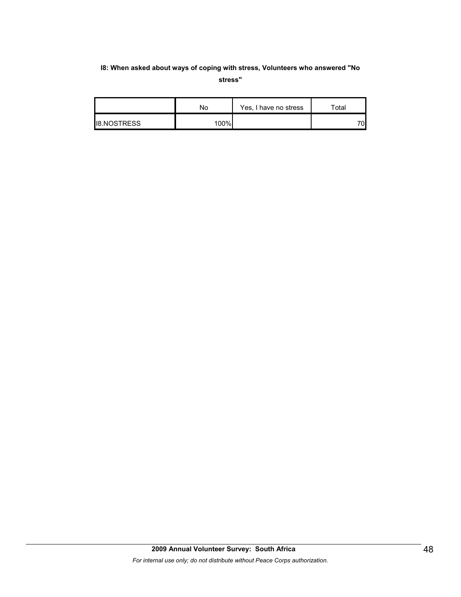#### **I8: When asked about ways of coping with stress, Volunteers who answered "No stress"**

|                    | No   | Yes, I have no stress | $\tau$ otal |
|--------------------|------|-----------------------|-------------|
| <b>I8.NOSTRESS</b> | 100% |                       | 70          |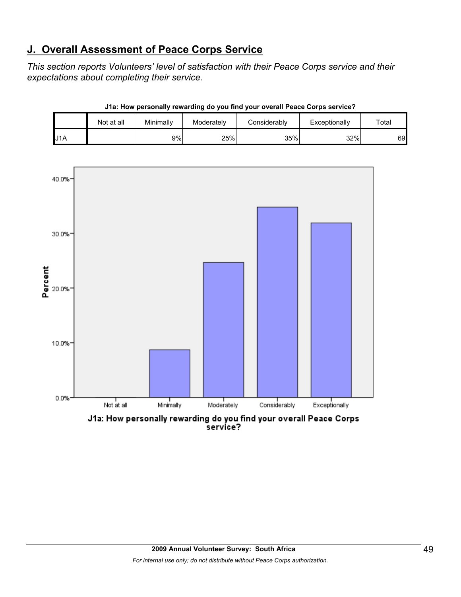## **J. Overall Assessment of Peace Corps Service**

*This section reports Volunteers' level of satisfaction with their Peace Corps service and their expectations about completing their service.* 

|     | Not at all | Minimally | Moderately | Considerablv | Exceptionally | Total |
|-----|------------|-----------|------------|--------------|---------------|-------|
| J1A |            | 9%        | 25%        | 35%          | 32%           | 69    |



**J1a: How personally rewarding do you find your overall Peace Corps service?**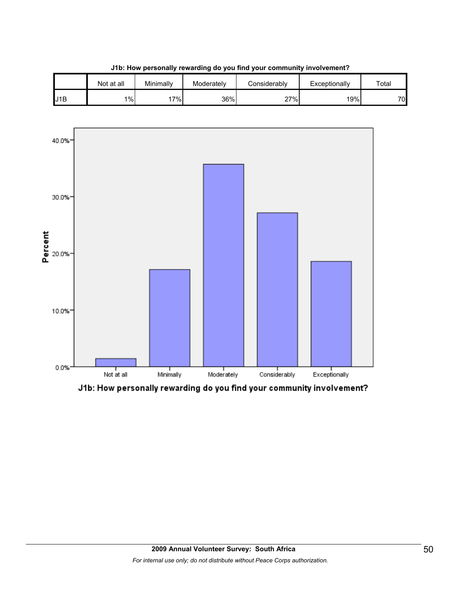

**J1b: How personally rewarding do you find your community involvement?**



J1b: How personally rewarding do you find your community involvement?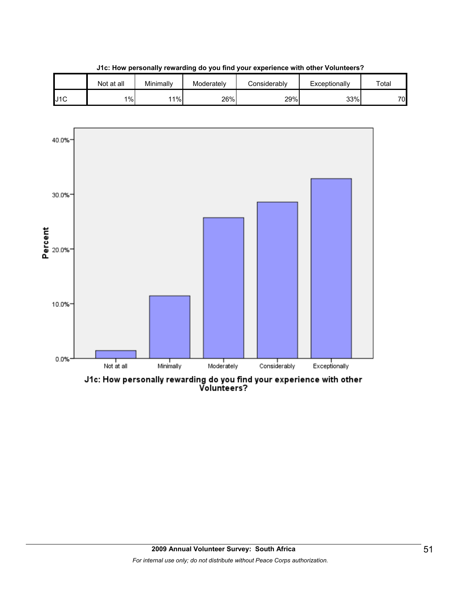

10.0%

 $0.0%$ 

**J1c: How personally rewarding do you find your experience with other Volunteers?**

ا<br>Moderately

J1c: How personally rewarding do you find your experience with other<br>Volunteers?

l<br>Considerably

I<br>Exceptionally

I<br>Minimally

l<br>Notatall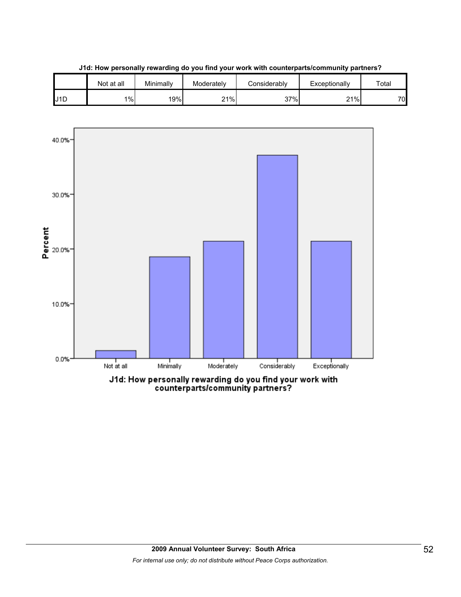



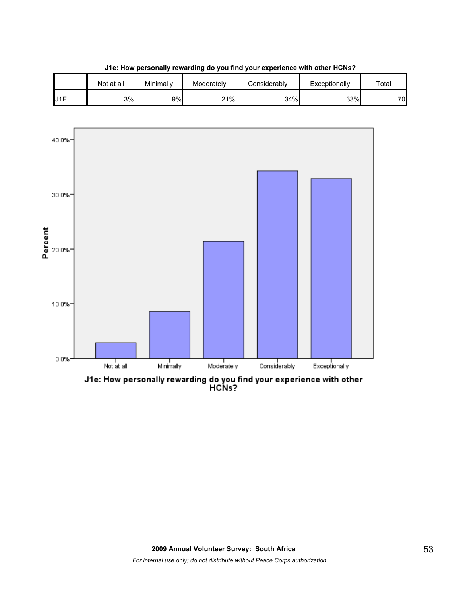

**J1e: How personally rewarding do you find your experience with other HCNs?**

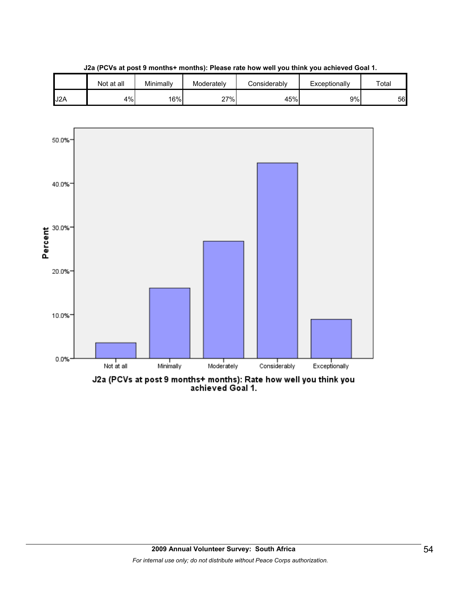

**J2a (PCVs at post 9 months+ months): Please rate how well you think you achieved Goal 1.**

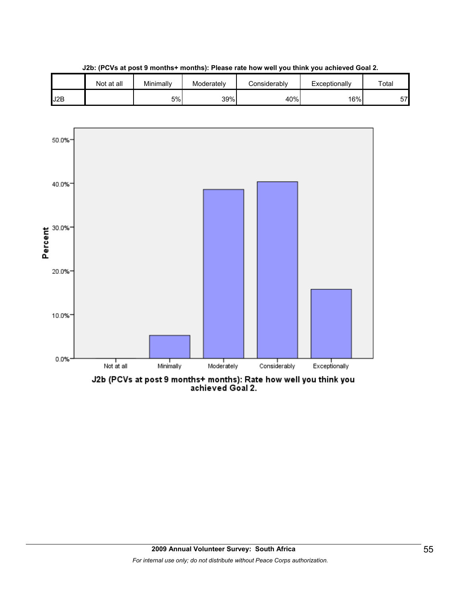

**J2b: (PCVs at post 9 months+ months): Please rate how well you think you achieved Goal 2.**



J2b (PCVs at post 9 months+ months): Rate how well you think you<br>achieved Goal 2.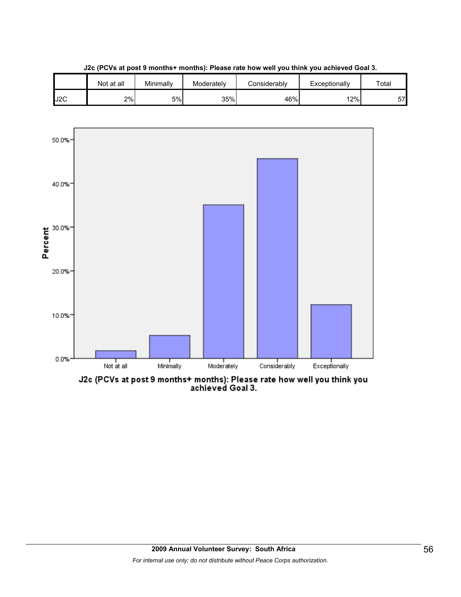

**J2c (PCVs at post 9 months+ months): Please rate how well you think you achieved Goal 3.**



J2c (PCVs at post 9 months+ months): Please rate how well you think you<br>achieved Goal 3.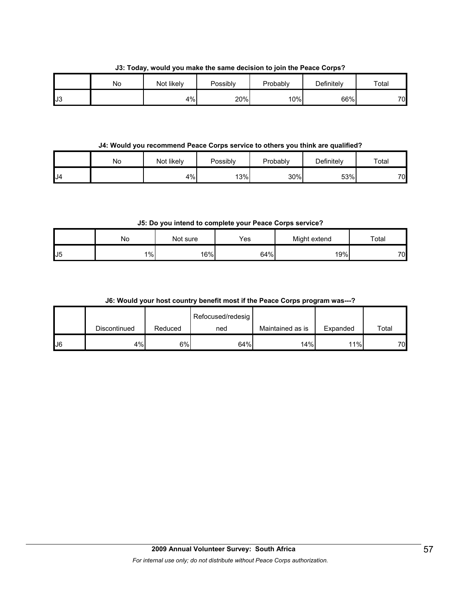**J3: Today, would you make the same decision to join the Peace Corps?**

|     | No | Not likely | Possibly | Probably | Definitely | Total |
|-----|----|------------|----------|----------|------------|-------|
| IJ3 |    | 4%         | 20%      | 10%      | 66%        | 70    |

**J4: Would you recommend Peace Corps service to others you think are qualified?**

|     | No | Not likely | Possibly | Probably | Definitely | Total |
|-----|----|------------|----------|----------|------------|-------|
| IJ4 |    | 4%         | 13%      | 30%      | 53%        | 70    |

**J5: Do you intend to complete your Peace Corps service?**

|    | Νo    | Not sure | Yes | Might extend | $\tau$ otal |
|----|-------|----------|-----|--------------|-------------|
| J5 | $1\%$ | 16%      | 64% | 19%          | 70          |

|  | J6: Would your host country benefit most if the Peace Corps program was---? |  |  |  |  |  |
|--|-----------------------------------------------------------------------------|--|--|--|--|--|
|--|-----------------------------------------------------------------------------|--|--|--|--|--|

|    |              |         | Refocused/redesig |                  |          |       |
|----|--------------|---------|-------------------|------------------|----------|-------|
|    | Discontinued | Reduced | ned               | Maintained as is | Expanded | Total |
| J6 | 4%           | 6%      | 64%               | 14%              | 11%      | 70    |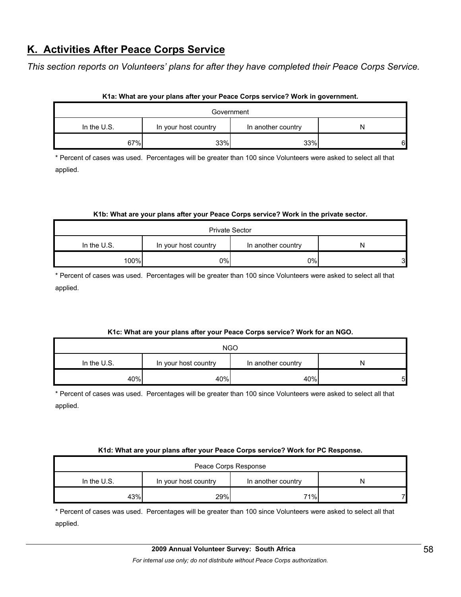## **K. Activities After Peace Corps Service**

*This section reports on Volunteers' plans for after they have completed their Peace Corps Service.* 

|               | Government           |                    |   |
|---------------|----------------------|--------------------|---|
| In the $U.S.$ | In your host country | In another country |   |
| 67%           | 33%                  | 33%                | 6 |

#### **K1a: What are your plans after your Peace Corps service? Work in government.**

\* Percent of cases was used. Percentages will be greater than 100 since Volunteers were asked to select all that applied.

#### **K1b: What are your plans after your Peace Corps service? Work in the private sector.**

| <b>Private Sector</b>                                            |     |    |   |  |  |
|------------------------------------------------------------------|-----|----|---|--|--|
| In the $U.S.$<br>In your host country<br>In another country<br>N |     |    |   |  |  |
| 100%                                                             | 0%l | 0% | 3 |  |  |

\* Percent of cases was used. Percentages will be greater than 100 since Volunteers were asked to select all that applied.

#### **K1c: What are your plans after your Peace Corps service? Work for an NGO.**

| <b>NGO</b>  |                      |                    |   |  |  |
|-------------|----------------------|--------------------|---|--|--|
| In the U.S. | In your host country | In another country | N |  |  |
| 40%         | 40%                  | 40%                | 5 |  |  |

\* Percent of cases was used. Percentages will be greater than 100 since Volunteers were asked to select all that applied.

#### **K1d: What are your plans after your Peace Corps service? Work for PC Response.**

| Peace Corps Response                                           |     |     |  |  |  |
|----------------------------------------------------------------|-----|-----|--|--|--|
| In the U.S.<br>In your host country<br>In another country<br>N |     |     |  |  |  |
| 43%                                                            | 29% | 71% |  |  |  |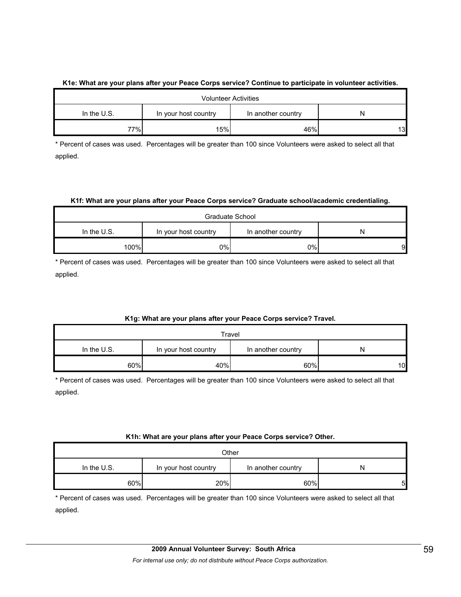#### **K1e: What are your plans after your Peace Corps service? Continue to participate in volunteer activities.**

| <b>Volunteer Activities</b>                                      |     |     |    |  |  |
|------------------------------------------------------------------|-----|-----|----|--|--|
| In the $U.S.$<br>In another country<br>In your host country<br>N |     |     |    |  |  |
| 77%                                                              | 15% | 46% | 13 |  |  |

\* Percent of cases was used. Percentages will be greater than 100 since Volunteers were asked to select all that applied.

#### **K1f: What are your plans after your Peace Corps service? Graduate school/academic credentialing.**

| Graduate School                                                |     |    |   |  |  |
|----------------------------------------------------------------|-----|----|---|--|--|
| In the U.S.<br>In your host country<br>In another country<br>N |     |    |   |  |  |
| 100%                                                           | 0%l | 0% | 9 |  |  |

\* Percent of cases was used. Percentages will be greater than 100 since Volunteers were asked to select all that applied.

#### **K1g: What are your plans after your Peace Corps service? Travel.**

| Travel                                                         |     |     |    |  |  |
|----------------------------------------------------------------|-----|-----|----|--|--|
| In the U.S.<br>In your host country<br>In another country<br>N |     |     |    |  |  |
| 60%                                                            | 40% | 60% | 10 |  |  |

\* Percent of cases was used. Percentages will be greater than 100 since Volunteers were asked to select all that applied.

#### **K1h: What are your plans after your Peace Corps service? Other.**

| Other         |                      |                    |   |  |  |
|---------------|----------------------|--------------------|---|--|--|
| In the $U.S.$ | In your host country | In another country | N |  |  |
| 60%           | 20%                  | 60%                | 5 |  |  |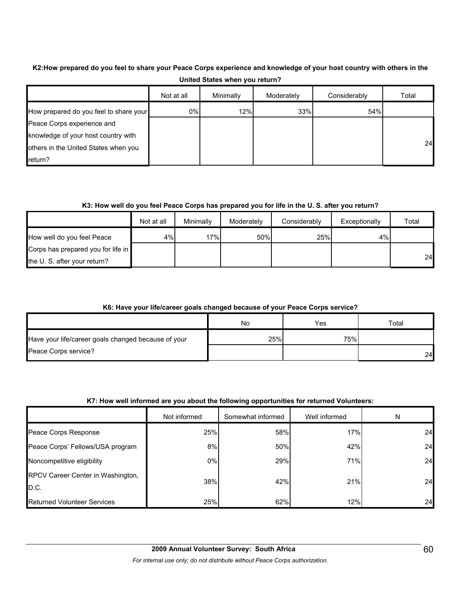#### **K2:How prepared do you feel to share your Peace Corps experience and knowledge of your host country with others in the United States when you return?**

|                                        | Not at all | Minimally | Moderately | Considerably | Total |
|----------------------------------------|------------|-----------|------------|--------------|-------|
| How prepared do you feel to share your | 0%         | 12%       | 33%        | 54%          |       |
| Peace Corps experience and             |            |           |            |              |       |
| knowledge of your host country with    |            |           |            |              |       |
| others in the United States when you   |            |           |            |              | 24    |
| return?                                |            |           |            |              |       |

#### **K3: How well do you feel Peace Corps has prepared you for life in the U. S. after you return?**

|                                    | Not at all | Minimally | Moderately | Considerably | Exceptionally | Total |
|------------------------------------|------------|-----------|------------|--------------|---------------|-------|
| How well do you feel Peace         | 4%l        | 17%       | 50%        | 25%          | 4%            |       |
| Corps has prepared you for life in |            |           |            |              |               |       |
| the U. S. after your return?       |            |           |            |              |               | 24    |

#### **K6: Have your life/career goals changed because of your Peace Corps service?**

|                                                     | No  | Yes | $\tau$ otal |
|-----------------------------------------------------|-----|-----|-------------|
| Have your life/career goals changed because of your | 25% | 75% |             |
| Peace Corps service?                                |     |     | 24          |

#### **K7: How well informed are you about the following opportunities for returned Volunteers:**

|                                           | Not informed | Somewhat informed | Well informed | N  |
|-------------------------------------------|--------------|-------------------|---------------|----|
| Peace Corps Response                      | 25%          | 58%               | 17%           | 24 |
| Peace Corps' Fellows/USA program          | 8%           | 50%               | 42%           | 24 |
| Noncompetitive eligibility                | 0%           | 29%               | 71%           | 24 |
| RPCV Career Center in Washington,<br>D.C. | 38%          | 42%               | 21%           | 24 |
| <b>Returned Volunteer Services</b>        | 25%          | 62%               | 12%           | 24 |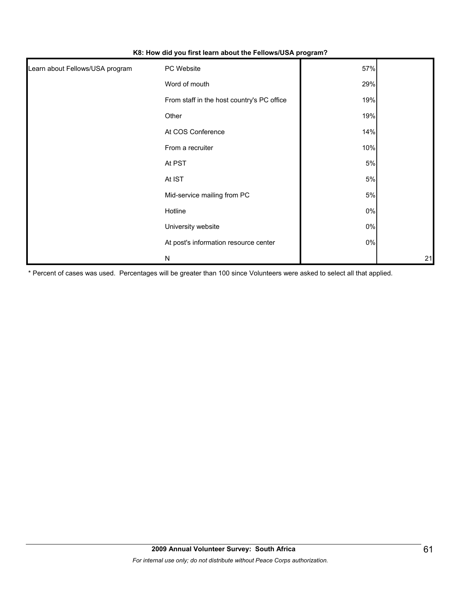| Learn about Fellows/USA program | PC Website                                 | 57%   |    |
|---------------------------------|--------------------------------------------|-------|----|
|                                 | Word of mouth                              | 29%   |    |
|                                 | From staff in the host country's PC office | 19%   |    |
|                                 | Other                                      | 19%   |    |
|                                 | At COS Conference                          | 14%   |    |
|                                 | From a recruiter                           | 10%   |    |
|                                 | At PST                                     | 5%    |    |
|                                 | At IST                                     | 5%    |    |
|                                 | Mid-service mailing from PC                | 5%    |    |
|                                 | Hotline                                    | $0\%$ |    |
|                                 | University website                         | $0\%$ |    |
|                                 | At post's information resource center      | $0\%$ |    |
|                                 | N                                          |       | 21 |

**K8: How did you first learn about the Fellows/USA program?**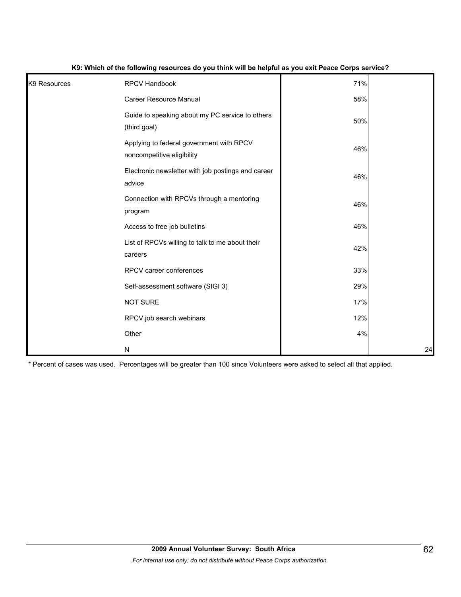| K9 Resources | <b>RPCV Handbook</b>                                                   | 71% |    |
|--------------|------------------------------------------------------------------------|-----|----|
|              | <b>Career Resource Manual</b>                                          | 58% |    |
|              | Guide to speaking about my PC service to others<br>(third goal)        | 50% |    |
|              | Applying to federal government with RPCV<br>noncompetitive eligibility | 46% |    |
|              | Electronic newsletter with job postings and career<br>advice           | 46% |    |
|              | Connection with RPCVs through a mentoring<br>program                   | 46% |    |
|              | Access to free job bulletins                                           | 46% |    |
|              | List of RPCVs willing to talk to me about their<br>careers             | 42% |    |
|              | RPCV career conferences                                                | 33% |    |
|              | Self-assessment software (SIGI 3)                                      | 29% |    |
|              | <b>NOT SURE</b>                                                        | 17% |    |
|              | RPCV job search webinars                                               | 12% |    |
|              | Other                                                                  | 4%  |    |
|              | N                                                                      |     | 24 |

#### **K9: Which of the following resources do you think will be helpful as you exit Peace Corps service?**